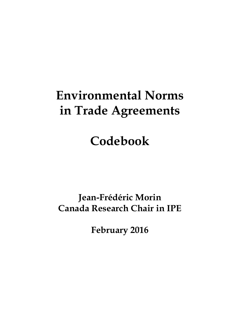## **Environmental Norms in Trade Agreements**

# **Codebook**

## **Jean-Frédéric Morin Canada Research Chair in IPE**

**February 2016**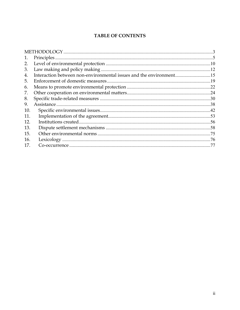### **TABLE OF CONTENTS**

| 1.  |             |     |
|-----|-------------|-----|
| 2.  |             |     |
| 3.  |             |     |
| 4.  |             |     |
| 5.  |             |     |
| 6.  |             | .22 |
| 7.  |             |     |
| 8.  |             |     |
| 9.  | Assistance. | .38 |
| 10. |             |     |
| 11. |             | .53 |
| 12. |             | .56 |
| 13. |             |     |
| 15. |             | .75 |
| 16. |             | .76 |
| 17. |             | -77 |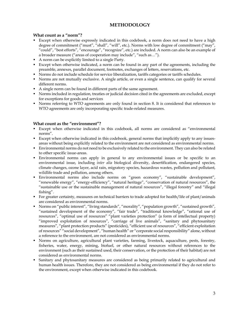### **METHODOLOGY**

### **What count as a "norm"?**

- Except when otherwise expressly indicated in this codebook, a norm does not need to have a high degree of commitment ("must", "shall", "will", etc.). Norms with low degree of commitment ("may", "could", "best efforts", "encourage", "recognize", etc.) are included. A norm can also be an example of a broader measure ("areas of cooperation may include", "such as…").
- A norm can be explicitly limited to a single Party.
- Except when otherwise indicated, a norm can be found in any part of the agreements, including the preamble, annexes, parallel document, footnotes, exchanges of letters, reservations, etc.
- Norms do not include schedule for service liberalization, tariffs categories or tariffs schedules.
- Norms are not mutually exclusive. A single article, or even a single sentence, can qualify for several different norms.
- A single norm can be found in different parts of the same agreement.
- Norms included in regulation, treaties or judicial decision cited in the agreements are excluded, except for exceptions for goods and services
- Norms referring to WTO agreements are only found in section 8. It is considered that references to WTO agreements are only incorporating specific trade-related measures.

### **What count as the "environment"?**

- Except when otherwise indicated in this codebook, all norms are considered as "environmental norms".
- Except when otherwise indicated in this codebook, general norms that implicitly apply to any issuesareas without being explicitly related to the environment are not considered as environmental norms.
- Environmental norms do not need to be exclusively related to the environment. They can also be related to other specific issue-areas.
- Environmental norms can apply in general to any environmental issues or be specific to an environmental issue, including *inter alia* biological diversity, desertification, endangered species, climate changes, ozone layer, acid rain, migratory species, hazardous wastes, pollution and pollutant, wildlife trade and pollution, among others.
- Environmental norms also include norms on "green economy", "sustainable development", "renewable energy", "energy-efficiency", "natural heritage", "conservation of natural resources", the "sustainable use or the sustainable management of natural resources", "illegal forestry" and "illegal fishing".
- For greater certainty, measures on technical barriers to trade adopted for health/life of plant/animals are considered as environmental norms.
- Norms on "public interest", "living standards", "morality", "population growth", "sustained growth", "sustained development of the economy", "fair trade", "traditional knowledge", "rational use of resources", "optimal use of resources" "plant varieties protection" (a form of intellectual property) "improved exploitation of resources", "carriage of live animals", "sanitary and phytosanitary measures", "plant protection products" (pesticides), "efficient use of resources", "efficient exploitation of resources" "social development", "human health" or "corporate social responsibility" alone, without a reference to the environment, are not considered as environmental norms.
- Norms on agriculture, agricultural plant varieties, farming, livestock, aquaculture, pests, forestry, fisheries, water, energy, mining, biofuel, or other natural resources without references to the environment (such as their sustained used, their conservation, or the protection of their habitat) are not considered as environmental norms.
- Sanitary and phytosanitary measures are considered as being primarily related to agricultural and human health issues. Therefore, they are not considered as being environmental if they do not refer to the environment, except when otherwise indicated in this codebook.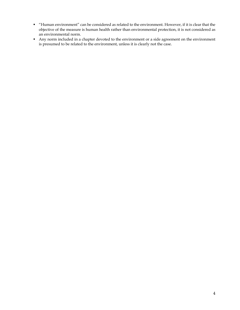- "Human environment" can be considered as related to the environment. However, if it is clear that the objective of the measure is human health rather than environmental protection, it is not considered as an environmental norm.
- Any norm included in a chapter devoted to the environment or a side agreement on the environment is presumed to be related to the environment, unless it is clearly not the case.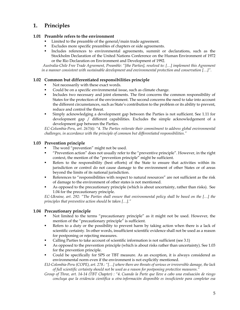### **1. Principles**

### **1.01 Preamble refers to the environment**

- Limited to the preamble of the general/main trade agreement.
- Excludes more specific preambles of chapters or side agreements.
- Includes references to environmental agreements, summit or declarations, such as the Stockholm Declaration of the United Nations Conference on the Human Environment of 1972 or the Rio Declaration on Environment and Development of 1992.

*Australia-Chile Free Trade Agreement, Preamble: "[the Parties], resolved to: […] implement this Agreement in a manner consistent with sustainable development and environmental protection and conservation […]".* 

### **1.02 Common but differentiated responsibilities principle**

- Not necessarily with these exact words.
- Could be on a specific environmental issue, such as climate change.
- Includes two necessary and joint elements. The first concerns the common responsibility of States for the protection of the environment. The second concerns the need to take into account the different circumstances, such as State's contribution to the problem or its ability to prevent, reduce and control the threat.
- Simply acknowledging a development gap between the Parties is not sufficient. See 1.11 for development gap / different capabilities. Excludes the simple acknowledgement of a development gap between the Parties.

*EC-Columbia-Peru, art. 267(4): "4. The Parties reiterate their commitment to address global environmental challenges, in accordance with the principle of common but differentiated responsibilities."* 

### **1.03 Prevention principle**

- The word "prevention" might not be used.
- "Prevention action" does not usually refer to the "preventive principle". However, in the right context, the mention of the "prevention principle" might be sufficient.
- Refers to the responsibility (best efforts) of the State to ensure that activities within its jurisdiction or control do not cause damage to the environment of other States or of areas beyond the limits of its national jurisdiction.
- References to "responsibilities with respect to natural resources" are not sufficient as the risk of damage to the environment of other states is not mentioned.
- As opposed to the precautionary principle (which is about uncertainty, rather than risks). See 1.04 for the precautionary principle.

*EC-Ukraine, art. 292: "The Parties shall ensure that environmental policy shall be based on the […] the principles that preventive action should be taken […]."* 

### **1.04 Precautionary principle**

- Not limited to the terms "precautionary principle" as it might not be used. However, the mention of the "precautionary principle" is sufficient.
- Refers to a duty or the possibility to prevent harm by taking action when there is a lack of scientific certainty. In other words, insufficient scientific evidence shall not be used as a reason for postponing or rejecting measures.
- Calling Parties to take account of scientific information is not sufficient (see 3.1)
- As opposed to the prevention principle (which is about risks rather than uncertainty). See 1.03 for the prevention principle.
- Could be specifically for SPS or TBT measure. As an exception, it is always considered as environmental norm even if the environment is not explicitly mentioned.

*EU-Colombia-Peru (COPE), art. 278.: "[…] where there are threats of serious or irreversible damage, the lack of full scientific certainty should not be used as a reason for postponing protective measures."* 

*Group of Three, art. 14-14 (TBT Chapter) : "4. Cuando la Parte que lleve a cabo una evaluación de riesgo concluya que la evidencia científica u otra información disponible es insuficiente para completar esa*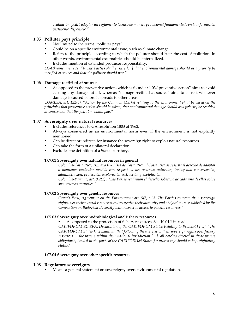*evaluación, podrá adoptar un reglamento técnico de manera provisional fundamentado en la información pertinente disponible."* 

### **1.05 Polluter pays principle**

- Not limited to the terms "polluter pays".
- Could be on a specific environmental issue, such as climate change.
- Refers to the principle according to which the polluter should bear the cost of pollution. In other words, environmental externalities should be internalized.
- Includes mention of extended producer responsibility.

*EC-Ukraine, art. 292: "4. The Parties shall ensure […] that environmental damage should as a priority be rectified at source and that the polluter should pay."* 

### **1.06 Damage rectified at source**

As opposed to the preventive action, which is found at 1.03," preventive action" aims to avoid causing any damage at all, whereas "damage rectified at source" aims to correct whatever damage is caused before it spreads to other areas.

*COMESA, art. 122(6): "Action by the Common Market relating to the environment shall be based on the principles that preventive action should be taken, that environmental damage should as a priority be rectified at source and that the polluter should pay."* 

### **1.07 Sovereignty over natural resources**

- Includes references to GA resolution 1803 of 1962.
- Always considered as an environmental norm even if the environment is not explicitly mentioned.
- Can be direct or indirect, for instance the sovereign right to exploit natural resources.
- Can take the form of a unilateral declaration.
- Excludes the definition of a State's territory.

### **1.07.01 Sovereignty over natural resources in general**

*Colombia-Costa Rica, Annexo II – Lista de Costa Rica : "Costa Rica se reserva el derecho de adoptar o mantener cualquier medida con respecto a los recursos naturales, incluyendo conservación, administración, protección, exploración, extracción y explotación."* 

*Colombia-Panama, art. 9.2(1) : "Las Partes reafirman el derecho soberano de cada una de ellas sobre sus recursos naturales."* 

### **1.07.02 Sovereignty over genetic resources**

 *Canada-Peru, Agreement on the Environment art. 5(3) : "3. The Parties reiterate their sovereign rights over their natural resources and recognize their authority and obligations as established by the Convention on Biological Diversity with respect to access to genetic resources."* 

### **1.07.03 Sovereignty over hydrobiological and fishery resources**

As opposed to the protection of fishery resources. See 10.04.1 instead.

*CARIFORUM EC EPA, Declaration of the CARIFORUM States Relating to Protocol I […]: "The CARIFORUM States […] maintain that following the exercise of their sovereign rights over fishery resources in the waters within their national jurisdiction […], all catches effected in those waters obligatorily landed in the ports of the CARIFORUM States for processing should enjoy originating status."* 

### **1.07.04 Sovereignty over other specific resources**

### **1.08 Regulatory sovereignty**

Means a general statement on sovereignty over environmental regulation.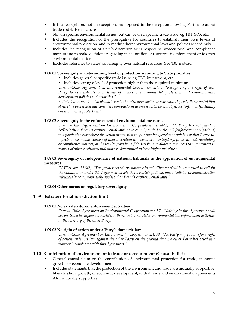- It is a recognition, not an exception. As opposed to the exception allowing Parties to adopt trade restrictive measures.
- Not on specific environmental issues, but can be on a specific trade issue, eg TBT, SPS, etc.
- Includes the recognition of the prerogative for countries to establish their own levels of environmental protection, and to modify their environmental laws and policies accordingly.
- Includes the recognition of state's discretion with respect to prosecutorial and compliance matters and to make decisions regarding the allocation of resources to enforcement or to other environmental matters.
- Excludes reference to states' sovereignty over natural resources. See 1.07 instead.

### **1.08.01 Sovereignty in determining level of protection according to State priorities**

- Includes general or specific trade issue, eg TBT, investment, etc.
- Includes setting a level of protection higher than the required minimum.

*Canada-Chile, Agreement on Environmental Cooperation art. 3: "Recognizing the right of each*  Party to establish its own levels of domestic environmental protection and environmental *development policies and priorities."* 

*Bolivia-Chile, art. 4 : "No obstante cualquier otra disposición de este capítulo, cada Parte podrá fijar el nivel de protección que considere apropiado en la prosecución de sus objetivos legítimos [including environmental protection."* 

### **1.08.02 Sovereignty in the enforcement of environmental measures**

 *Canada-Chile, Agreement on Environmental Coopreation art. 44(1) : "A Party has not failed to "effectively enforce its environmental law" or to comply with Article 5(1) [enforcement obligations] in a particular case where the action or inaction in question by agencies or officials of that Party: (a) reflects a reasonable exercise of their discretion in respect of investigatory, prosecutorial, regulatory or compliance matters; or (b) results from bona fide decisions to allocate resources to enforcement in respect of other environmental matters determined to have higher priorities;"* 

### **1.08.03 Sovereignty or independence of national tribunals in the application of environmental measures**

 *CAFTA, art. 17.3(6): "For greater certainty, nothing in this Chapter shall be construed to call for the examination under this Agreement of whether a Party's judicial, quasi-judicial, or administrative tribunals have appropriately applied that Party's environmental laws."* 

### **1.08.04 Other norms on regulatory sovereignty**

### **1.09 Extraterritorial jurisdiction limit**

### **1.09.01 No extraterritorial enforcement activities**

 *Canada-Chile, Agreement on Environmental Cooperation art. 37: "Nothing in this Agreement shall be construed to empower a Party's authorities to undertake environmental law enforcement activities in the territory of the other Party."* 

### **1.09.02 No right of action under a Party's domestic law**

 *Canada-Chile, Agreement on Environmental Cooperation art. 38 : "No Party may provide for a right of action under its law against the other Party on the ground that the other Party has acted in a manner inconsistent with this Agreement."* 

### **1.10 Contribution of environnement to trade or development (Causal belief)**

- General causal claim on the contribution of environmental protection for trade, economic growth, or economic development.
- Includes statements that the protection of the environment and trade are mutually supportive, liberalization, growth, or economic development, or that trade and environmental agreements ARE mutually supportive.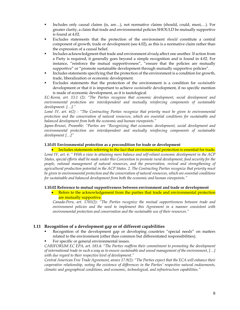- Includes only causal claims (is, are…), not normative claims (should, could, must,…). For greater clarity, a claim that trade and environmental policies SHOULD be mutually supportive is found at 4.02.
- Excludes statements that the protection of the environment *should* constitute a central component of growth, trade or development (see 4.02), as this is a normative claim rather than the expression of a causal belief.
- Includes acknowledgment that trade and environment *already* affect one another. If action from a Party is required, it generally goes beyond a simple recognition and is found in 4.02. For instance, "reinforce the mutual supportiveness", "ensure that the policies are mutually supportive" or "promote sustainable development through mutually supportive policies".
- Includes statements specifying that the protection of the environment is a condition for growth, trade, liberalization or economic development.
- Excludes statements that the protection of the environment is a condition for *sustainable*  development or that it is important to achieve *sustainable* development, if no specific mention is made of economic development, as it is tautological.

*EC-Korea, art. 13.1 (2): "The Parties recognise that economic development, social development and environmental protection are interdependent and mutually reinforcing components of sustainable development. […]."* 

*Lomé IV, art. 6(2) : "The Contracting Parties recognize that priority must be given to environmental protection and the conservation of natural resources, which are essential conditions for sustainable and balanced development from both the economic and human viewpoints."* 

*Japan-Brunei, Preamble: "Parties are "Recognizing that economic development, social development and environmental protection are interdependent and mutually reinforcing components of sustainable development […]"* 

### **1.10.01 Environmental protection as a precondition for trade or development**

 Includes statements referring to the fact that environmental protection is essential for trade. *Lomé IV, art. 6: " With a view to attaining more balance and self-reliant economic development in the ACP States, special efforts shall be made under this Convention to promote rural development, food security for the people, rational management of natural resources, and the preservation, revival and strengthening of agricultural production potential in the ACP States. 2. The Contracting Parties recognize that priority must be given to environmental protection and the conservation of natural resources, which are essential conditions for sustainable and balanced development from both the economic and human viewpoints."* 

### **1.10.02 Reference to mutual supportiveness between environment and trade or development**

• Refers to the acknowledgement from the parties that trade and environmental protection are mutually supportive.

*Canada-Peru, art. 1701(2): "The Parties recognize the mutual supportiveness between trade and environment policies and the need to implement this Agreement in a manner consistent with environmental protection and conservation and the sustainable use of their resources."* 

### **1.11 Recognition of a development gap or of different capabilities**

- Recognition of the development gap or developing countries "special needs" on matters related to the environment (other than common but differentiated responsibilities).
- For specific or general environmental issues.

*CARIFORUM EC EPA, art. 183.4: "The Parties reaffirm their commitment to promoting the development of international trade in such a way as to ensure sustainable and sound management of the environment, […] with due regard to their respective level of development."* 

*Central American Free Trade Agreement, annex 17.9(2): "The Parties expect that the ECA will enhance their cooperative relationship, noting the existence of differences in the Parties' respective natural endowments, climatic and geographical conditions, and economic, technological, and infrastructure capabilities."*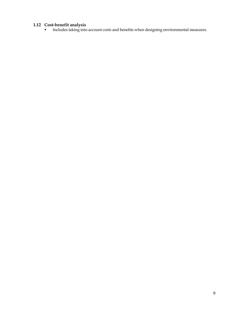### **1.12 Cost-benefit analysis**

**Includes taking into account costs and benefits when designing environmental measures.**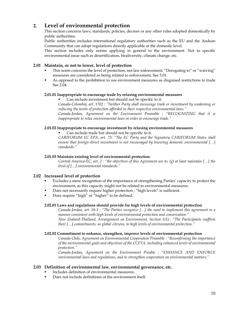### **2. Level of environmental protection**

 This section concerns laws, standards, policies, decrees or any other rules adopted domestically by public authorities.

 Public authorities includes international regulatory authorities such as the EU and the Andean Community that can adopt regulations directly applicable at the domestic level.

This section includes only norms applying in general to the environment. Not to specific environmental issue such as desertification, biodiversity, climate change, etc.

### **2.01 Maintain, or not to lower, level of protection**

- This norm concerns the level of protection, not law enforcement. "Derogating to" or "waiving" measures are considered as being related to enforcement. See 5.01.
- As opposed to the prohibition to use environment measures as disguised restrictions to trade See 2.04.

### **2.01.01 Inappropriate to encourage trade by relaxing environmental measures**

Can include investment but should not be specific to it.

*Canada-Colombia, art. 1702 : "Neither Party shall encourage trade or investment by weakening or reducing the levels of protection afforded in their respective environmental laws."* 

*Canada-Jordan, Agreement on the Environment Preamble : "RECOGNIZING that it is inappropriate to relax environmental laws in order to encourage trade."* 

### **2.01.02 Inappropriate to encourage investment by relaxing environmental measures**

Can include trade but should not be specific to it.

*CARIFORUM EC EPA, art. 73: "The EC Party and the Signatory CARIFORUM States shall ensure that foreign direct investment is not encouraged by lowering domestic environmental […] standards."* 

### **2.01.03 Maintain existing level of environmental protection**

 *Central America-EC, art. 2 : "the objectives of this Agreement are to: (g) at least maintain […] the level of […] environmental standards."* 

### **2.02 Increased level of protection**

- Excludes a mere recognition of the importance of strengthening Parties' capacity to protect the environment, as this capacity might not be related to environmental measures.
- Does not necessarily require higher protection ; "high levels" is sufficient.
- Does require "high" or "higher" to be defined.

### **2.02.01 Laws and regulations should provide for high levels of environmental protection**

 *Canada-Jordan, art. 10-1 : "The Parties recognize […] the need to implement this agreement in a manner consistent with high levels of environmental protection and conservation." New Zealand-Thailand, Arrangement on Environment, Section 1(1) : "The Participants reaffirm their […] commitments, as global citizens, to high levels of environmental protection."* 

### **2.02.02 Commitment to enhance, strengthen, improve levels of environmental protection**

 *Canada-Chile, Agreement on Environmental Cooperation Preamble : "Reconfirming the importance of the environmental goals and objectives of the CCFTA, including enhanced levels of environmental protection."* 

 *Canada-Jordan, Agreement on the Environment Preable : "ENHANCE AND ENFORCE environmental laws and regulations, and to strengthen cooperation on environmental matters;"* 

### **2.03 Definition of environmental law, environmental governance, etc.**

- Includes definition of environmental measures.
- Does not include definitions of the environment itself.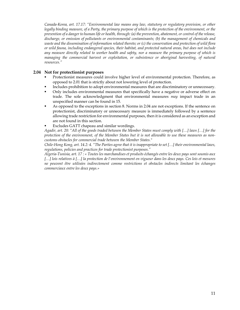*Canada-Korea, art. 17.17: "Environmental law means any law, statutory or regulatory provision, or other legally binding measure, of a Party, the primary purpose of which is the protection of the environment, or the prevention of a danger to human life or health, through: (a) the prevention, abatement, or control of the release, discharge, or emission of pollutants or environmental contaminants; (b) the management of chemicals and waste and the dissemination of information related thereto; or (c) the conservation and protection of wild flora or wild fauna, including endangered species, their habitat, and protected natural areas, but does not include any measure directly related to worker health and safety, nor a measure the primary purpose of which is managing the commercial harvest or exploitation, or subsistence or aboriginal harvesting, of natural resources."* 

### **2.04 Not for protectionist purposes**

- Protectionist measures could involve higher level of environmental protection. Therefore, as opposed to 2.01 that is strictly about not lowering level of protection.
- Includes prohibition to adopt environmental measures that are discriminatory or unnecessary.
- Only includes environmental measures that specifically have a negative or adverse effect on trade. The sole acknowledgment that environmental measures *may* impact trade in an unspecified manner can be found in 15.
- As opposed to the exceptions in section 8. Norms in 2.04 are not exceptions. If the sentence on protectionist, discriminatory or unnecessary measure is immediately followed by a sentence allowing trade restriction for environmental purposes, then it is considered as an exception and are not found in this section.
- Excludes GATT chapeau and similar wordings.

*Agadir, art. 20: "All of the goods traded between the Member States must comply with […] laws […] for the protection of the environment, of the Member States but it is not allowable to use these measures as noncustoms obstacles for commercial trade between the Member States."* 

*Chile-Hong Kong, art. 14.2: 4. "The Parties agree that it is inappropriate to set […] their environmental laws, regulations, policies and practices for trade protectionist purposes."* 

*Algeria-Tunisia, art. 17 : « Toutes les marchandises et produits échangés entre les deux pays sont soumis aux […] lois relatives à […] la protection de l'environnement en vigueur dans les deux pays. Ces lois et mesures ne peuvent être utilisées indirectement comme restrictions et obstacles indirects limitant les échanges commerciaux entre les deux pays.»*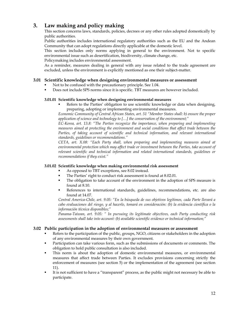### **3. Law making and policy making**

 This section concerns laws, standards, policies, decrees or any other rules adopted domestically by public authorities.

 Public authorities includes international regulatory authorities such as the EU and the Andean Community that can adopt regulations directly applicable at the domestic level.

 This section includes only norms applying in general to the environment. Not to specific environmental issue such as desertification, biodiversity, climate change, etc.

Policymaking includes environmental assessment.

 As a reminder, measures dealing in general with any issue related to the trade agreement are excluded, unless the environment is explicitly mentioned as one their subject-matter.

### **3.01 Scientific knowledge when designing environmental measures or assessment**

- Not to be confused with the precautionary principle. See 1.04.
- Does not include SPS norms since it is specific. TBT measures are however included.

### **3.01.01 Scientific knowledge when designing environmental measures**

 Refers to the Parties' obligation to use scientific knowledge or data when designing, preparing, adopting or implementing environmental measures.

*Economic Community of Central African States, art. 51 "Member States shall: b) ensure the proper application of science and technology to […] the conservation of the environment;"* 

*EC-Korea, art. 13.8: "The Parties recognize the importance, when preparing and implementing measures aimed at protecting the environment and social conditions that affect trade between the*  Parties, of taking account of scientific and technical information, and relevant international *standards, guidelines or recommendations."* 

*CETA, art. X.08: "Each Party shall, when preparing and implementing measures aimed at environmental protection which may affect trade or investment between the Parties, take account of relevant scientific and technical information and related international standards, guidelines or recommendations if they exist."* 

### **3.01.02 Scientific knowledge when making environmental risk assessment**

- As opposed to TBT exceptions, see 8.02 instead.
- The Parties' right to conduct risk assessment is found at 8.02.01.
- The obligation to take account of the environment in the adoption of SPS measure is found at 8.10.
- References to international standards, guidelines, recommendations, etc. are also found at 14.07.

*Central America-Chile, art. 9.05: "En la búsqueda de sus objetivos legítimos, cada Parte llevará a cabo evaluaciones del riesgo, y al hacerlo, tomará en consideración: (b) la evidencia científica o la información técnica disponibles;"* 

*Panama-Taiwan, art. 9.05: " In pursuing its legitimate objectives, each Party conducting risk assessments shall take into account: (b) available scientific evidence or technical information;"* 

### **3.02 Public participation in the adoption of environmental measures or assessment**

- Refers to the participation of the public, groups, NGO, citizens or stakeholders in the adoption of any environmental measures by their own government.
- Participation can take various form, such as the submissions of documents or comments. The obligation to hold public consultation is also included.
- This norm is about the adoption of domestic environmental measures, or environmental measures that affect trade between Parties. It excludes provisions concerning strictly the enforcement of measures (see section 5) or the implementation of the agreement (see section 11).
- It is not sufficient to have a "transparent" process, as the public might not necessary be able to participate.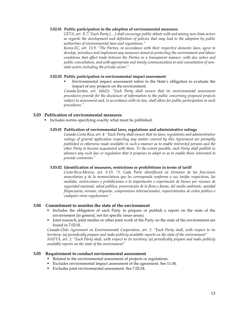#### **3.02.01 Public participation in the adoption of environmental measures**

*CETA, art. X.7:"Each Party […] shall encourage public debate with and among non-State actors as regards the development and definition of policies that may lead to the adoption by public authorities of environmental laws and regulations."* 

*Korea-EC, art. 13.9: "The Parties, in accordance with their respective domestic laws, agree to develop, introduce and implement any measures aimed at protecting the environment and labour conditions that affect trade between the Parties in a transparent manner, with due notice and public consultation, and with appropriate and timely communication to and consultation of nonstate actors including the private sector."* 

### **3.02.02 Public participation in environmental impact assessment**

 Environmental impact assessment refers to the State's obligation to evaluate the impact of any projects on the environment.

*Canada-Jordan, art. 166(2): "Each Party shall ensure that its environmental assessment procedures provide for the disclosure of information to the public concerning proposed projects subject to assessment and, in accordance with its law, shall allow for public participation in such procedures."* 

### **3.03 Publication of environmental measures**

Includes norms specifying exactly what must be published.

### **3.03.01 Publication of environmental laws, regulations and administrative rulings**

 *Canada-Costa Rica, art. 4: "Each Party shall ensure that its laws, regulations and administrative rulings of general application respecting any matter covered by this Agreement are promptly published or otherwise made available in such a manner as to enable interested persons and the other Party to become acquainted with them. To the extent possible, each Party shall publish in advance any such law or regulation that it proposes to adopt so as to enable those interested to provide comments."* 

### **3.03.02 Identification of measures, restrictions or prohibitions in terms of tariff**

*Costa-Rica-Mexico, art. 3-13: "5. Cada Parte identificará en términos de las fracciones arancelarias y de la nomenclatura que les corresponda conforme a sus tarifas respectivas, las medidas, restricciones o prohibiciones a la importación o exportación de bienes por razones de seguridad nacional, salud pública, preservación de la flora o fauna, del medio ambiente, sanidad fitopecuaria, normas, etiquetas, compromisos internacionales, requerimientos de orden público o cualquier otras regulaciones."* 

### **3.04 Commitment to monitor the state of the environment**

- Includes the obligation of each Party to prepare or publish a report on the state of the environment (in general, not for specific issue-areas).
- Joint research, joint studies or other joint work of the Party on the state of the environment are found in 7.02.01.

*Canada-Chile Agreement on Environmental Cooperation, art. 2: "Each Party shall, with respect to its territory: (a) periodically prepare and make publicly available reports on the state of the environment" NAFTA, art. 2: "Each Party shall, with respect to its territory: (a) periodically prepare and make publicly available reports on the state of the environment"* 

### **3.05 Requirement to conduct environmental assessment**

- Related to the environmental assessment of projects or regulations.
- Excludes environmental impact assessment of the agreement. See 11.04.
- Excludes joint environmental assessment. See 7.02.04.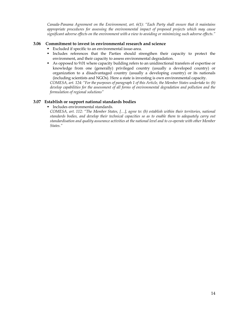*Canada-Panama Agreement on the Environment, art. 6(1): "Each Party shall ensure that it maintains appropriate procedures for assessing the environmental impact of proposed projects which may cause significant adverse effects on the environment with a view to avoiding or minimizing such adverse effects."* 

### **3.06 Commitment to invest in environmental research and science**

- Excluded if specific to an environmental issue-area.
- Includes references that the Parties should strengthen their capacity to protect the environment, and their capacity to assess environmental degradation.
- As opposed to 9.01 where capacity building refers to an unidirectional transfers of expertise or knowledge from one (generally) privileged country (usually a developed country) or organization to a disadvantaged country (usually a developing country) or its nationals (including scientists and NGOs). Here a state is investing is own environmental capacity.

*COMESA, art. 124: "For the purposes of paragraph 1 of this Article, the Member States undertake to: (b) develop capabilities for the assessment of all forms of environmental degradation and pollution and the formulation of regional solutions"* 

### **3.07 Establish or support national standards bodies**

**Includes environmental standards.** 

*COMESA, art. 112: "The Member States, […], agree to: (b) establish within their territories, national standards bodies, and develop their technical capacities so as to enable them to adequately carry out standardisation and quality assurance activities at the national level and to co-operate with other Member States."*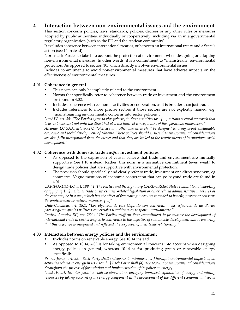### **4. Interaction between non-environmental issues and the environment**

 This section concerns policies, laws, standards, policies, decrees or any other rules or measures adopted by public authorities, individually or cooperatively, including via an intergovernmental regulatory organization (such as the EU and the Andean community).

 It excludes coherence between international treaties, or between an international treaty and a State's action (see 14 instead).

 Norms ask Parties to take into account the protection of environment when designing or adopting non-environmental measures. In other words, it is a commitment to "mainstream" environmental protection. As opposed to section 10, which directly involves environmental issues.

 Includes commitments to avoid non-environmental measures that have adverse impacts on the effectiveness of environmental measures.

### **4.01 Coherence in general**

- This norm can only be implicitly related to the environment.
- Norms that specifically refer to coherence between trade or investment and the environment are found in 4.02.
- Includes coherence with economic activities or cooperation, as it is broader than just trade.
- Includes references to more precise sectors if those sectors are not explicitly named, e.g. "mainstreaming environmental concerns into sector policies".

*Lomé IV, art. 35: "The Parties agree to give priority in their activities to: - […]-a trans-sectoral approach that takes into account not only the direct but also the indirect consequences of the operations undertaken."* 

*Albania- EC SAA, art. 86(2)2: "Policies and other measures shall be designed to bring about sustainable economic and social development of Albania. These policies should ensure that environmental considerations are also fully incorporated from the outset and that they are linked to the requirements of harmonious social development."* 

### **4.02 Coherence with domestic trade and/or investment policies**

- As opposed to the expression of causal believe that trade and environment are mutually supportive. See 1.10 instead. Rather, this norm is a normative commitment (even weak) to design trade policies that are supportive with environmental protection.
- The provision should specifically and clearly refer to trade, investment or a direct synonym, eg commerce. Vague mentions of economic cooperation that can go beyond trade are found in 4.01.

*CARIFORUM-EC, art. 188: "1. The Parties and the Signatory CARIFORUM States commit to not adopting or applying […] national trade or investment-related legislation or other related administrative measures as the case may be in a way which has the effect of frustrating measures intended to benefit, protect or conserve the environment or natural resources […]".* 

*Chile-Colombia, art. 18.1: "Los objetivos de este Capitulo son contribuir a las esfuerzos de las Partes para asegurar que las politicas comerciales y ambientales se apoyen mutuamente."* 

*Central America-EC, art. 284 : "The Parties reaffirm their commitment to promoting the development of international trade in such a way as to contribute to the objective of sustainable development and to ensuring that this objective is integrated and reflected at every level of their trade relationship."* 

### **4.03 Interaction between energy policies and the environment**

- Excludes norms on renewable energy. See 10.14 instead.
- As opposed to 10.14, 4.03 is for taking environmental concerns into account when designing energy policies in general, whereas 10.14 is for producing green or renewable energy specifically.

*Brunei-Japan, art. 93: "Each Party shall endeavour to minimise, […] harmful environmental impacts of all activities related to energy in its Area. [...] Each Party shall (a) take account of environmental considerations throughout the process of formulation and implementation of its policy on energy."* 

*Lomé IV, art. 16: "Cooperation shall be aimed at encouraging improved exploitation of energy and mining resources by taking account of the energy component in the development of the different economic and social*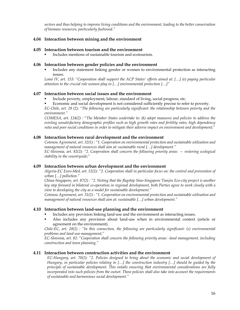*sectors and thus helping to improve living conditions and the environment, leading to the better conservation of biomass resources, particularly fuelwood."* 

### **4.04 Interaction between mining and the environment**

### **4.05 Interaction between tourism and the environment**

Includes mentions of sustainable tourism and ecotourism.

### **4.06 Interaction between gender policies and the environment**

 Includes any statement linking gender or women to environmental protection as interacting issues.

*Lomé IV, art. 153: "Cooperation shall support the ACP States' efforts aimed at: […] (e) paying particular attention to the crucial role women play in […] environmental protection […]"* 

### **4.07 Interaction between social issues and the environment**

- Include poverty, employment, labour, standard of living, social progress, etc.
- Economic and social development is not considered sufficiently precise to refer to poverty.

*EC-Chile, art. 28 (2): "The following are particularly significant: the relationship between poverty and the environment."* 

*COMESA, art. 124(2) :* "*The Member States undertake to: (k) adopt measures and policies to address the existing unsatisfactory demographic profiles such as high growth rates and fertility rates, high dependency ratio and poor social conditions in order to mitigate their adverse impact on environment and development;"* 

### **4.08 Interaction between rural development and the environment**

*Cotonou Agreement, art. 32(1) : "1. Cooperation on environmental protection and sustainable utilisation and management of natural resources shall aim at: sustainable rural […] development."* 

*EC-Slovenia, art. 82(2): "2. Cooperation shall concern the following priority areas: — restoring ecological stability in the countryside;"* 

### **4.09 Interaction between urban development and the environment**

*Algeria-EC Euro-Med, art. 52(2): "2. Cooperation shall in particular focus on: the control and prevention of urban […] pollution."* 

*China-Singapore, art. 87(2) : "2. Noting that the flagship Sino-Singapore Tianjin Eco-city project is another key step forward in bilateral co-operation in regional development, both Parties agree to work closely with a view to developing the city as a model for sustainable development."* 

*Cotonou Agreement, art. 31(2) : "1. Cooperation on environmental protection and sustainable utilisation and management of natural resources shall aim at: sustainable […] urban development."* 

### **4.10 Interaction between land-use planning and the environment**

- Includes any provision linking land-use and the environment as interacting issues.
- Also includes any provision about land-use when in environmental context (article or agreement on the environment).

*Chile-EC, art. 28(2) : "In this connection, the following are particularly significant: (c) environmental problems and land-use management;"* 

*EC-Slovenia, art. 82: "Cooperation shall concern the following priority areas: -land management, including construction and town planning."* 

### **4.11 Interaction between construction activities and the environment**

*EC-Hungary, art. 70(2): "2. Policies designed to bring about the economic and social development of Hungary, in particular policies relating to […] the construction industry […] should be guided by the principle of sustainable development. This entails ensuring that environmental considerations are fully incorporated into such policies from the outset. These policies shall also take into account the requirements of sustainable and harmonious social development."*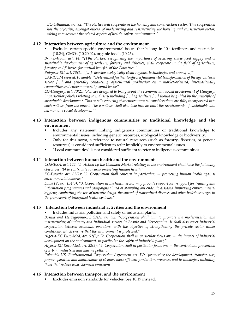*EC-Lithuania, art. 92: "The Parties will cooperate in the housing and construction sector. This cooperation has the objective, amongst others, of modernizing and restructuring the housing and construction sector, taking into account the related aspects of health, safety, environment."* 

### **4.12 Interaction between agriculture and the environment**

 Excludes certain specific environmental issues that belong in 10 : fertilizers and pesticides (10.24), GMOs (10.20.02), organic foods (10.25).

*Brunei-Japan, art. 14: "[T]he Parties, recognising the importance of securing stable food supply and of sustainable development of agriculture, forestry and fisheries, shall cooperate in the field of agriculture, forestry and fisheries for mutual benefits of the Countries."* 

*Bulgaria-EC, art. 78(1): "[…]- develop ecologically clean regions, technologies and crops,[…]"* 

*CARICOM revised, Preamble: "Determined further to effect a fundamental transformation of the agricultural sector […] and generally conducting agricultural production on a market-oriented, internationally competitive and environmentally sound basis;"* 

*EC-Hungary, art. 70(2): "Policies designed to bring about the economic and social development of Hungary, in particular policies relating to industry including […] agriculture […] should be guided by the principle of sustainable development. This entails ensuring that environmental considerations are fully incorporated into such policies from the outset. These policies shall also take into account the requirements of sustainable and harmonious social development."* 

### **4.13 Interaction between indigenous communities or traditional knowledge and the environment**

- Includes any statement linking indigenous communities or traditional knowledge to environmental issues, including genetic resources, ecological knowledge or biodiversity.
- Only for this norm, a reference to natural resources (such as forestry, fisheries, or genetic resources) is considered sufficient to refer implicitly to environmental issues.
- "Local communities" is not considered sufficient to refer to indigenous communities.

### **4.14 Interaction between human health and the environment**

*COMESA, art. 122: "5. Action by the Common Market relating to the environment shall have the following objectives: (b) to contribute towards protecting human health;"* 

*EC-Estonia, art. 82(2): "2. Cooperation shall concern in particular: — protecting human health against environmental hazards."* 

*Lomé IV, art. 154(3): "3. Cooperation in the health sector may provide support for: -support for training and information programmes and campaigns aimed at stamping out endemic diseases, improving environmental hygiene, combatting the use of narcotic drugs, the spread of transmitted diseases and other health scourges in the framework of integrated health systems,"* 

### **4.15 Interaction between industrial activities and the environment**

Includes industrial pollution and safety of industrial plants.

*Bosnia and Herzegovina-EC SAA, art. 92: "Cooperation shall aim to promote the modernisation and restructuring of industry and individual sectors in Bosnia and Herzegovina. It shall also cover industrial cooperation between economic operators, with the objective of strengthening the private sector under conditions, which ensure that the environment is protected."*

*Algeria-EC Euro-Med, art. 52(2): "2. Cooperation shall in particular focus on: — the impact of industrial development on the environment, in particular the safety of industrial plant,"* 

*Algeria-EC Euro-Med, art. 32(2): "2. Cooperation shall in particular focus on: — the control and prevention of urban, industrial and marine pollution,"* 

*Colombia-US, Environmental Cooperation Agreement art. IV: "promoting the development, transfer, use, proper operation and maintenance of cleaner, more efficient production processes and technologies, including those that reduce toxic chemical emissions."* 

### **4.16 Interaction between transport and the environment**

Excludes emission standards for vehicles. See 10.17 instead.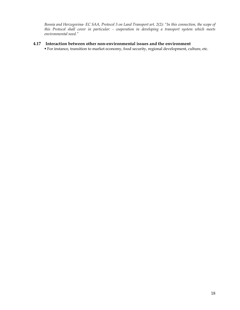*Bosnia and Herzegovina- EC SAA, Protocol 3 on Land Transport art. 2(2): "In this connection, the scope of this Protocol shall cover in particular: - cooperation in developing a transport system which meets environmental need."* 

### **4.17 Interaction between other non-environmental issues and the environment**

For instance, transition to market economy, food security, regional development, culture, etc.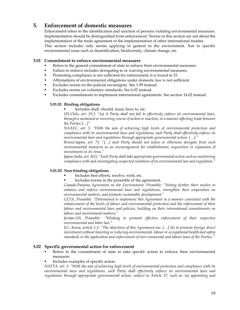### **5. Enforcement of domestic measures**

 Enforcement refers to the identification and sanction of persons violating environmental measures. Implementation should be distinguished from enforcement. Norms in this section are not about the implementation of the trade agreement or the implementation of other international treaties. This section includes only norms applying in general to the environment. Not to specific environmental issue such as desertification, biodiversity, climate change, etc.

### **5.01 Commitment to enforce environmental measures**

- Refers to the general commitment of state to enforce their environmental measures.
- Failure to enforce includes derogating to or waiving environmental measures.
- **Promoting compliance is not sufficient for enforcement, it is found in 15.**
- Affirmations of environmental obligations under domestic law is not sufficient.
- Excludes norms on the judicial sovereignty. See 1.09 instead.
- Excludes norms on voluntary standards. See 6.02 instead.
- Excludes commitments to implement international agreements. See section 14.02 instead.

### **5.01.01 Binding obligations**

Includes shall, should, must, have to, etc.

*US-Chile, art. 19.2: "(a) A Party shall not fail to effectively enforce its environmental laws, through a sustained or recurring course of action or inaction, in a manner affecting trade between the Parties […]"* 

*NAAEC, art. 5: "With the aim of achieving high levels of environmental protection and compliance with its environmental laws and regulations, each Party shall effectively enforce its environmental laws and regulations through appropriate governmental action, […]."* 

*Brunei-Japan, art. 71: "[…] each Party should not waive or otherwise derogate from such environmental measures as an encouragement for establishment, acquisition or expansion of investments in its Area."* 

*Japan-India, art. 8(2): "Each Party shall take appropriate governmental action such as monitoring compliance with and investigating suspected violations of its environmental law and regulation."* 

### **5.01.02 Non-binding obligations**

- Includes best efforts, resolve, wish, etc.
- Includes norms in the preamble of the agreement.

*Canada-Panama Agreement on the Environment, Preamble: "Noting further their resolve to enhance and enforce environmental laws and regulations, strengthen their cooperation on environmental matters, and promote sustainable development;"* 

*CETA, Preamble: "Determined to implement this Agreement in a manner consistent with the enhancement of the levels of labour and environmental protection and the enforcement of their*  labour and environmental laws and policies, building on their international commitments on *labour and environment matters;"* 

*Jordan-US, Preamble: "Wishing to promote effective enforcement of their respective environmental and labor law;"* 

*EC- Korea, article 1.1: "The objectives of this Agreement are: […] (h) to promote foreign direct investment without lowering or reducing environmental, labour or occupational health and safety standards in the application and enforcement of envi-ronmental and labour laws of the Parties."* 

### **5.02 Specific governmental action for enforcement**

- Refers to the commitment of state to take specific action to enforce their environmental measures.
- Includes examples of specific action.

*NAFTA, art. 5: "With the aim of achieving high levels of environmental protection and compliance with its environmental laws and regulations, each Party shall effectively enforce its environmental laws and regulations through appropriate governmental action, subject to Article 37, such as: (a) appointing and*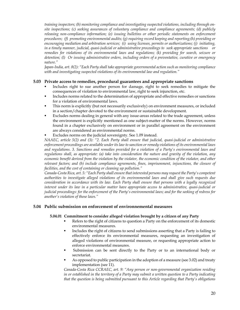*training inspectors; (b) monitoring compliance and investigating suspected violations, including through onsite inspections; (c) seeking assurances of voluntary compliance and compliance agreements; (d) publicly releasing non-compliance information; (e) issuing bulletins or other periodic statements on enforcement procedures; (f) promoting environmental audits; (g) requiring record keeping and reporting;(h) providing or encouraging mediation and arbitration services; (i) using licenses, permits or authorizations; (j) initiating, in a timely manner, judicial, quasi-judicial or administrative proceedings to seek appropriate sanctions or remedies for violations of its environmental laws and regulations; (k) providing for search, seizure or detention; (l) Or issuing administrative orders, including orders of a preventative, curative or emergency nature."* 

*Japan-India, art. 8(2): "Each Party shall take appropriate governmental action such as monitoring compliance with and investigating suspected violations of its environmental law and regulation."* 

### **5.03 Private access to remedies, procedural guarantees and appropriate sanctions**

- Includes right to sue another person for damage, right to seek remedies to mitigate the consequences of violation to environmental law, right to seek injunction, etc.
- Includes norms related to the determination of appropriate and effective remedies or sanctions for a violation of environmental laws.
- This norm is explicitly (but not necessarily exclusively) on environment measures, or included in a section/chapter devoted to the environment or sustainable development.
- Excludes norms dealing in general with any issue-areas related to the trade agreement, unless the environment is explicitly mentioned as one subject-matter of the norms. However, norms found in a chapter exclusively on environment or in parallel agreement on the environment are always considered as environmental norms.
- Excludes norms on the judicial sovereignty. See 1.09 instead.

*NAAEC, article 5(2) and (3): "2. Each Party shall ensure that judicial, quasi-judicial or administrative enforcement proceedings are available under its law to sanction or remedy violations of its environmental laws and regulations. 3. Sanctions and remedies provided for a violation of a Party's environmental laws and regulations shall, as appropriate: (a) take into consideration the nature and gravity of the violation, any economic benefit derived from the violation by the violator, the economic condition of the violator, and other relevant factors; and (b) include compliance agreements, fines, imprisonment, injunctions, the closure of facilities, and the cost of containing or cleaning up pollution."* 

*Canada-Costa Rica, art. 5: "Each Party shall ensure that interested persons may request the Party's competent authorities to investigate alleged violations of its environmental laws and shall give such requests due consideration in accordance with its law. Each Party shall ensure that persons with a legally recognized interest under its law in a particular matter have appropriate access to administrative, quasi-judicial or judicial proceedings: for the enforcement of the Party's environmental laws; and for the seeking of redress for another's violation of those laws."* 

### **5.04 Public submission on enforcement of environnemental measures**

### **5.04.01 Commitment to consider alleged violation brought by a citizen of any Party**

- Refers to the right of citizens to question a Party on the enforcement of its domestic environmental measures.
- **Includes the right of citizens to send submissions asserting that a Party is failing to** effectively enforce its environmental measures, requesting an investigation of alleged violations of environmental measure, or requesting appropriate action to enforce environmental measures.
- Submission can be sent directly to the Party or to an international body or secretariat.
- As opposed to public participation in the adoption of a measure (see 3.02) and treaty implementation (see 11).

*Canada-Costa Rica CCRAEC, art. 9: "Any person or non-governmental organization residing in or established in the territory of a Party may submit a written question to a Party indicating that the question is being submitted pursuant to this Article regarding that Party's obligations*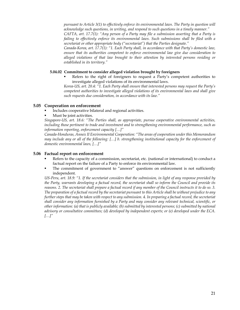*pursuant to Article 3(1) to effectively enforce its environmental laws. The Party in question will acknowledge such questions, in writing, and respond to such questions in a timely manner."* 

*CAFTA, art. 17.7(1): "Any person of a Party may file a submission asserting that a Party is failing to effectively enforce its environmental laws. Such submissions shall be filed with a secretariat or other appropriate body ("secretariat") that the Parties designate."* 

*Canada-Korea, art. 17.7(1): "1. Each Party shall, in accordance with that Party's domestic law, ensure that its authorities competent to enforce environmental law give due consideration to alleged violations of that law brought to their attention by interested persons residing or established in its territory."* 

### **5.04.02 Commitment to consider alleged violation brought by foreigners**

 Refers to the right of foreigners to request a Party's competent authorities to investigate alleged violations of its environmental laws.

*Korea-US, art. 20.4: "1. Each Party shall ensure that interested persons may request the Party's competent authorities to investigate alleged violations of its environmental laws and shall give such requests due consideration, in accordance with its law."* 

### **5.05 Cooperation on enforcement**

- Includes cooperative bilateral and regional activities.
- Must be joint activities.

*Singapore-US, art. 18.6: "The Parties shall, as appropriate, pursue cooperative environmental activities, including those pertinent to trade and investment and to strengthening environmental performance, such as information reporting, enforcement capacity […]"* 

*Canada-Honduras, Annex II Environmental Cooperation: "The areas of cooperation under this Memorandum may include any or all of the following: […] b. strengthening institutional capacity for the enforcement of domestic environmental laws, […]"* 

### **5.06 Factual report on enforcement**

- Refers to the capacity of a commission, secretariat, etc. (national or international) to conduct a factual report on the failure of a Party to enforce its environmental law.
- The commitment of government to "answer" questions on enforcement is not sufficiently independent.

*US-Peru, art. 18.9: "1. If the secretariat considers that the submission, in light of any response provided by the Party, warrants developing a factual record, the secretariat shall so inform the Council and provide its reasons. 2. The secretariat shall prepare a factual record if any member of the Council instructs it to do so. 3. The preparation of a factual record by the secretariat pursuant to this Article shall be without prejudice to any further steps that may be taken with respect to any submission.* 4. In preparing a factual record, the secretariat *shall consider any information furnished by a Party and may consider any relevant technical, scientific, or other information: (a) that is publicly available; (b) submitted by interested persons; (c) submitted by national advisory or consultative committees; (d) developed by independent experts; or (e) developed under the ECA. […]"*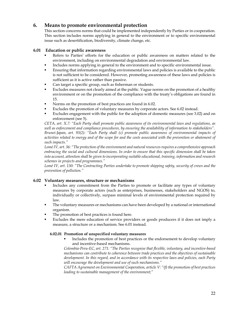### **6. Means to promote environmental protection**

This section concerns norms that could be implemented independently by Parties or in cooperation. This section includes norms applying in general to the environment or to specific environmental issue such as desertification, biodiversity, climate change, etc.

### **6.01 Education or public awareness**

- Refers to Parties' efforts for the education or public awareness on matters related to the environment, including on environmental degradation and environmental law.
- Includes norms applying in general to the environment and to specific environmental issue.
- Ensuring that information regarding environmental laws and policies is available to the public is not sufficient to be considered. However, promoting awareness of these laws and policies is sufficient as it is active rather than passive.
- Can target a specific group, such as fisherman or students.
- Excludes measures not clearly aimed at the public. Vague norms on the promotion of a healthy environment or on the promotion of the compliance with the treaty's obligations are found in 15.
- Norms on the promotion of best practices are found in 6.02.
- Excludes the promotion of voluntary measures by corporate actors. See 6.02 instead.
- Excludes engagement with the public for the adoption of domestic measures (see 3.02) and on enforcement (see 5).

*CETA, art. X.7: "Each Party shall promote public awareness of its environmental laws and regulations, as well as enforcement and compliance procedures, by ensuring the availability of information to stakeholders". Brunei-Japan, art. 93(2): "Each Party shall (c) promote public awareness of environmental impacts of activities related to energy and of the scope for and the costs associated with the prevention or abatement of such impacts."* 

*Lomé IV, art. 36: "The protection of the environment and natural resources requires a comprehensive approach embracing the social and cultural dimensions. In order to ensure that this specific dimension shall be taken into account, attention shall be given to incorporating suitable educational, training, information and research schemes in projects and programmes."* 

*Lomé IV, art. 130: "The Contracting Parties undertake to promote shipping safety, security of crews and the prevention of pollution."* 

### **6.02 Voluntary measures, structure or mechanisms**

- Includes any commitment from the Parties to promote or facilitate any types of voluntary measures by corporate actors (such as enterprises, businesses, stakeholders and NGOS) to, individually or collectively, surpass minimal levels of environmental protection required by law.
- **The voluntary measures or mechanisms can have been developed by a national or international** organism.
- The promotion of best practices is found here.
- Excludes the mere education of service providers or goods producers if it does not imply a measure, a structure or a mechanism. See 6.01 instead.

### **6.02.01 Promotion of unspecified voluntary measures**

 Includes the promotion of best practices or the endorsement to develop voluntary and incentive-based mechanisms.

*Colombia-Peru-EC, art. 271: "The Parties recognise that flexible, voluntary, and incentive-based mechanisms can contribute to coherence between trade practices and the objectives of sustainable development. In this regard, and in accordance with its respective laws and policies, each Party will encourage the development and use of such mechanisms."* 

*CAFTA Agreement on Environmental Cooperation, article V: "(f) the promotion of best practices leading to sustainable management of the environment;"*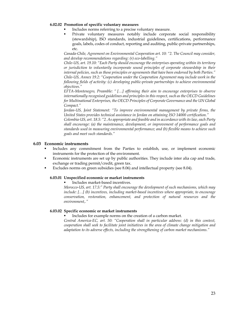### **6.02.02 Promotion of specific voluntary measures**

- Includes norms referring to a precise voluntary measure.
- Private voluntary measures notably include corporate social responsibility (stewardship), ISO standards, industrial guidelines, certifications, performance goals, labels, codes of conduct, reporting and auditing, public-private partnerships, etc.

*Canada-Chile, Agreement on Environmental Cooperation art. 10: "2. The Council may consider, and develop recommendations regarding: (r) eco-labelling."* 

*Chile-US, art. 19.10: "Each Party should encourage the enterprises operating within its territory or jurisdiction to voluntarily incorporate sound principles of corporate stewardship in their internal policies, such as those principles or agreements that have been endorsed by both Parties." Chile-US, Annex 19.2: "Cooperation under the Cooperation Agreement may include work in the following fields of activity: (c) developing public-private partnerships to achieve environmental objectives."* 

*EFTA-Montenegro, Preamble: " […] affirming their aim to encourage enterprises to observe internationally recognised guidelines and principles in this respect, such as the OECD Guidelines for Multinational Enterprises, the OECD Principles of Corporate Governance and the UN Global Compact."* 

*Jordan-US, Joint Statement: "To improve environmental management by private firms, the United States provides technical assistance in Jordan on attaining ISO 14000 certification."* 

*Colombia-US, art. 18.5: "2. As appropriate and feasible and in accordance with its law, each Party shall encourage: (a) the maintenance, development, or improvement of performance goals and standards used in measuring environmental performance; and (b) flexible means to achieve such goals and meet such standards."* 

### **6.03 Economic instruments**

- Includes any commitment from the Parties to establish, use, or implement economic instruments for the protection of the environment.
- Economic instruments are set up by public authorities. They include inter alia cap and trade, exchange or trading permit/credit, green tax.
- Excludes norms on green subsidies (see 8.06) and intellectual property (see 8.04).

### **6.03.01 Unspecified economic or market instruments**

Includes market-based incentives.

*Morocco-US, art. 17.5:" Party shall encourage the development of such mechanisms, which may include: […] (b) incentives, including market-based incentives where appropriate, to encourage conservation, restoration, enhancement, and protection of natural resources and the environment,."* 

### **6.03.02 Specific economic or market instruments**

Includes for example norms on the creation of a carbon market.

*Central America-EC, art. 50: "Cooperation shall in particular address: (d) in this context, cooperation shall seek to facilitate joint initiatives in the area of climate change mitigation and adaptation to its adverse effects, including the strengthening of carbon market mechanisms."*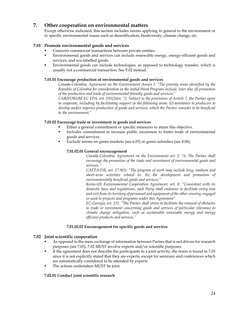### **7. Other cooperation on environmental matters**

Except otherwise indicated, this section includes norms applying in general to the environment or to specific environmental issues such as desertification, biodiversity, climate change, etc.

### **7.01 Promote environmental goods and services**

- Concerns commercial transactions between private entities.
- Environmental goods and services can include renewable energy, energy-efficient goods and services, and eco-labelled goods.
- Environmental goods can include technologies, as opposed to technology transfer, which is usually not a commercial transaction. See 9.02 instead.

### **7.01.01 Encourage production of environmental goods and services**

*Canada-Colombia, Agreement on the Environment Annex I: "The priority areas identified by the Republic of Colombia for consideration in the initial Work Program include, inter alia: (f) promotion of the production and trade of environmental-friendly goods and services;"*

*CARIFORUM EC EPA, art. 191(2)(e): "2. Subject to the provisions of Article 7, the Parties agree to cooperate, including by facilitating support in the following areas: (e) assistance to producers to develop and/or improve production of goods and services, which the Parties consider to be beneficial to the environment;"* 

### **7.01.02 Encourage trade or investment in goods and services**

- Either a general commitment or specific measures to attain this objective.
	- Includes commitment to increase public awareness to foster trade of environmental goods and services.
- Exclude norms on green markets (see 6.03) or green subsidies (see 8.06).

### **7.01.02.01 General encouragement**

*Canada-Colombia, Agreement on the Environment art. 2: "6. The Parties shall encourage the promotion of the trade and investment of environmental goods and services."* 

*CAFTA-DR, art. 17.9(3): "The program of work may include long, medium and short-term activities related to: (h) the development and promotion of environmentally beneficial goods and services;"* 

*Korea-US Environmental Cooperation Agreement, art. 8: "Consistent with its domestic laws and regulations, each Party shall endeavor to facilitate entry into and exit from its territory of personnel and equipment of the other country, engaged or used in projects and programs under this Agreement"*

*EC-Georgia, art. 231: "The Parties shall strive to facilitate the removal of obstacles to trade or investment concerning goods and services of particular relevance to climate change mitigation, such as sustainable renewable energy and energy efficient products and services."* 

### **7.01.02.02 Encouragement for specific goods and services**

### **7.02 Joint scientific cooperation**

- As opposed to the mere exchange of information between Parties that is not driven for research purposes (see 7.03), 7.02 MUST involve experts and/or scientific purposes.
- If the agreement does not describe the participants to a joint activity, the norm is found in 7.03 since it is not explicitly stated that they are experts, except for seminars and conferences which are automatically considered to be attended by experts.
- The actions undertaken MUST be joint.

### **7.02.01 Conduct joint scientific research**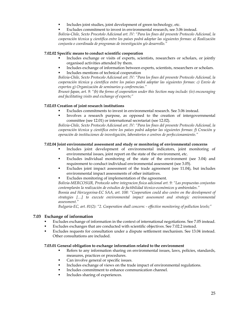- Includes joint studies, joint development of green technology, etc.
- Excludes commitment to invest in environmental research, see 3.06 instead.

*Bolivia-Chile, Sexto Procotolo Adicional art. IV: "Para los fines del presente Protocolo Adicional, la cooperación técnica y científica entre los países podrá adoptar las siguientes formas: a) Realización conjunta o coordinada de programas de investigación y/o desarrollo."* 

#### **7.02.02 Specific means to conduct scientific cooperation**

- Includes exchange or visits of experts, scientists, researchers or scholars, or jointly organised activities attended by them.
- Includes exchange of information between experts, scientists, researchers or scholars. Includes mentions of technical cooperation

*Bolivia-Chile, Sexto Protocolo Adicional art. IV: "Para los fines del presente Protocolo Adicional, la cooperación técnica y científica entre los países podrá adoptar las siguientes formas: c) Envío de expertos g) Organización de seminarios y conferencias."* 

*Brunei-Japan, art. 9: "(b) the forms of cooperation under this Section may include: (iv) encouraging and facilitating visits and exchange of experts;"* 

### **7.02.03 Creation of joint research institutions**

- Excludes commitments to invest in environmental research. See 3.06 instead.
- Involves a research purpose, as opposed to the creation of intergovernmental committee (see 12.01) or international secretariat (see 12.02).

*Bolivia-Chile, Sexto Protocolo Adicional art. IV: "Para los fines del presente Protocolo Adicional, la cooperación técnica y científica entre los países podrá adoptar las siguientes formas: f) Creación y operación de instituciones de investigación, laboratorios o centros de perfeccionamiento."* 

### **7.02.04 Joint environmental assessment and study or monitoring of environmental concerns**

- Includes joint development of environmental indicators, joint monitoring of environmental issues, joint report on the state of the environment, etc.
- Excludes individual monitoring of the state of the environment (see 3.04) and requirement to conduct individual environmental assessment (see 3.05).
- Excludes joint impact assessment of the trade agreement (see 11.04), but includes environmental impact assessments of other initiatives.
- Excludes monitoring of implementation of the agreement.

*Bolivia-MERCOSUR, Protocolo sobre integracion fisica adicional art. 9: "Las propuestas conjuntas contemplarán la realización de estudios de factibilidad técnico-económicos y ambientales."*

*Bosnia and Herzegovina-EC SAA, art. 108: "Cooperation could also centre on the development of strategies […] to execute environmental impact assessment and strategic environmental assessment."*

*Bulgaria-EC, art. 81(2): "2. Cooperation shall concern: - effective monitoring of pollution levels;"* 

### **7.03 Exchange of information**

- Excludes exchange of information in the context of international negotiations. See 7.05 instead.
- Excludes exchanges that are conducted with scientific objectives. See 7.02.2 instead.
- Excludes requests for consultation under a dispute settlement mechanism. See 13.04 instead. Other consultations are included.

#### **7.03.01 General obligation to exchange information related to the environment**

- Refers to any information sharing on environmental issues, laws, policies, standards, measures, practices or procedures.
- Can involve general or specific issues.
- Includes exchange of views on the trade impact of environmental regulations.
- Includes commitment to enhance communication channel.
- Includes sharing of experiences.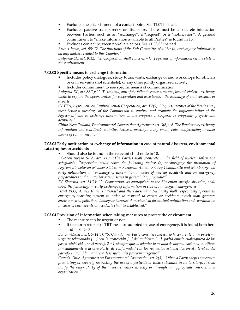- Excludes the establishment of a contact point. See 11.01 instead.
- Excludes passive transparency or disclosure. There must be a concrete interaction between Parties, such as an "exchange", a "request" or a "notification". A general commitment to "make information available to all Parties" is found in 15.
- Excludes contact between non-State actors. See 11.03.03 instead.

*Brunei-Japan, art. 95: "2. The functions of the Sub-Committee shall be: (b) exchanging information on any matters related to this Chapter;"*

*Bulgaria-EC, art. 81(2): "2. Cooperation shall concern: - […] systems of information on the state of the environment."* 

#### **7.03.02 Specific means to exchange information**

- Includes policy dialogues, study tours, visits, exchange of and workshops for officials or civil servants (not scientists), or any other jointly organized activity.
- Includes commitment to use specific means of communication

*Bulgaria-EC, art. 88(2): "2. To this end, any of the following measures may be undertaken: - exchange visits to explore the opportunities for cooperation and assistance, - the exchange of civil servants or experts,"*

*CAFTA, Agreement on Environmental Cooperation, art. IV(5): "Representatives of the Parties may meet between meetings of the Commission to analyze and promote the implementation of the Agreement and to exchange information on the progress of cooperative programs, projects and activities."* 

*China-New Zealand, Environmental Cooperation Agreement art. 3(6): "6. The Parties may exchange information and coordinate activities between meetings using email, video conferencing or other means of communication."* 

### **7.03.03 Early notification or exchange of information in case of natural disasters, environmental catastrophes or accidents**

Should also be found in the relevant child node in 10.

*EC-Montenegro SAA, art. 110: "The Parties shall cooperate in the field of nuclear safety and*  safeguards. Cooperation could cover the following topics: (b) encouraging the promotion of *Agreements between Member States, or European Atomic Energy Community and Montenegro on early notification and exchange of information in cases of nuclear accidents and on emergency preparedness and on nuclear safety issues in general, if appropriate;"*

*EC-Slovenia, art. 81(2): "2. Cooperation, as appropriate to the Slovenian specific situation, shall cover the following: — early exchange of information in case of radiological emergencies;"*

*Israel PLO, Annex II art. II: "Israel and the Palestinian Authority shall respectively operate an emergency warning system in order to respond to events or accidents which may generate environmental pollution, damage or hazards. A mechanism for mutual notification and coordination in cases of such events or accidents shall be established."* 

#### **7.03.04 Provision of information when taking measures to protect the environment**

- The measure can be urgent or not.
- If the norm refers to a TBT measure adopted in case of emergency, it is found both here and in 8.02.03.

*Bolivia-Mexico, art. 9-14(5): "5. Cuando una Parte considere necesario hacer frente a un problema urgente relacionado […] con la protección [...] del ambiente […], podrá omitir cualesquiera de los pasos establecidos en el párrafo 2 ó 4, siempre que, al adoptar la medida de normalización: a) notifique inmediatamente a la otra Parte, de conformidad con los requisitos establecidos en el literal b) del párrafo 2, incluida una breve descripción del problema urgente;"*

*Canada-Chile, Agreement on Environmental Cooperation art. 2(3): "When a Party adopts a measure prohibiting or severely restricting the use of a pesticide or toxic substance in its territory, it shall notify the other Party of the measure, either directly or through an appropriate international organization."*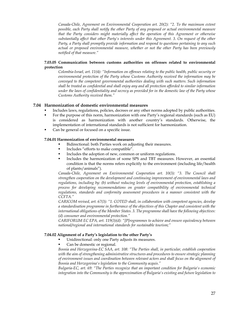*Canada-Chile, Agreement on Environmental Cooperation art. 20(2): "2. To the maximum extent possible, each Party shall notify the other Party of any proposed or actual environmental measure that the Party considers might materially affect the operation of this Agreement or otherwise substantially affect that other Party's interests under this Agreement. 3. On request of the other Party, a Party shall promptly provide information and respond to questions pertaining to any such actual or proposed environmental measure, whether or not the other Party has been previously notified of that measure."* 

### **7.03.05 Communication between customs authorities on offenses related to environmental protection**

*Colombia-Israel, art. 11(4): "Information on offenses relating to the public health, public security or environmental protection of the Party whose Customs Authority received the information may be conveyed to the competent governmental authorities dealing with such matters. Such information shall be treated as confidential and shall enjoy any and all protection afforded to similar information under the laws of confidentiality and secrecy as provided for in the domestic law of the Party whose Customs Authority received them."* 

### **7.04 Harmonization of domestic environmental measures**

- Includes laws, regulations, policies, decrees or any other norms adopted by public authorities.
- For the purpose of this norm, harmonization with one Party's regional standards (such as EU) is considered as harmonization with another country's standards. Otherwise, the implementation of international standards is not sufficient for harmonization.
- Can be general or focused on a specific issue.

### **7.04.01 Harmonization of environmental measures**

- Bidirectional: both Parties work on adjusting their measures.
- Includes "efforts to make compatible".
- Includes the adoption of new, common or uniform regulations.
- **Includes the harmonization of some SPS and TBT measures. However, an essential** condition is that the norms refers explicitly to the environment (including life/health of plants/animals").

*Canada-Chile, Agreement on Environmental Cooperation art. 10(3): "3. The Council shall strengthen cooperation on the development and continuing improvement of environmental laws and regulations, including by: (b) without reducing levels of environmental protection, establishing a*  process for developing recommendations on greater compatibility of environmental technical *regulations, standards and conformity assessment procedures in a manner consistent with the CCFTA."*

*CARICOM revised, art. 67(3): "1. COTED shall, in collaboration with competent agencies, develop a standardisation programme in furtherance of the objectives of this Chapter and consistent with the international obligations of the Member States. 3. The programme shall have the following objectives: (d) consumer and environmental protection."*

*CARIFORUM EC EPA, art. 119(3)(d): "[P]rogrammes to achieve and ensure equivalency between national/regional and international standards for sustainable tourism;"*

### **7.04.02 Alignment of a Party's legislation to the other Party's**

- Unidirectional: only one Party adjusts its measures.
- Can be domestic or regional.

*Bosnia and Herzegovina-EC SAA, art. 108: "The Parties shall, in particular, establish cooperation with the aim of strengthening administrative structures and procedures to ensure strategic planning of environment issues and coordination between relevant actors and shall focus on the alignment of Bosnia and Herzegovina's legislation to the Community acquis."*

*Bulgaria-EC, art. 69: "The Parties recognize that an important condition for Bulgaria's economic integration into the Community is the approximation of Bulgaria's existing and future legislation to*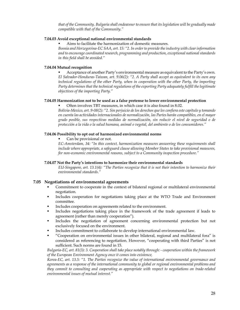*that of the Community. Bulgaria shall endeavour to ensure that its legislation will be gradually made compatible with that of the Community."*

### **7.04.03 Avoid exceptional national environmental standards**

Aims to facilitate the harmonization of domestic measures.

*Bosnia and Herzegovina-EC SAA, art. 15: "2. In order to provide the industry with clear information and to encourage coordinated research, programming and production, exceptional national standards in this field shall be avoided."* 

### **7.04.04 Mutual recognition**

 Acceptance of another Party's environmental measure as equivalent to the Party's own. *El Salvador-Honduras-Taiwan, art. 9.06(2): "2. A Party shall accept as equivalent to its own any technical regulations of the other Party, when in cooperation with the other Party, the importing Party determines that the technical regulations of the exporting Party adequately fulfill the legitimate objectives of the importing Party."* 

### **7.04.05 Harmonization not to be used as a false pretense to lower environmental protection**

Often involves TBT measures, in which case it is also found in 8.02.

*Bolivia-Mexico, art. 9-08(2): "2. Sin perjuicio de los derechos que les confiera este capítulo y tomando en cuenta las actividades internacionales de normalización, las Partes harán compatibles, en el mayor grado posible, sus respectivas medidas de normalización, sin reducir el nivel de seguridad o de protección a la vida o la salud humana, animal o vegetal, del ambiente o de los consumidores."* 

### **7.04.06 Possibility to opt out of harmonized environmental norms**

Can be provisional or not.

*EC-Amsterdam, 34: "In this context, harmonization measures answering these requirements shall include where appropriate, a safeguard clause allowing Member States to take provisional measures, for non-economic environmental reasons, subject to a Community inspection procedure."* 

### **7.04.07 Not the Party's intentions to harmonize their environmental standards**

*EU-Singapore, art. 13.1(4): "The Parties recognize that it is not their intention to harmonize their environmental standards."* 

### **7.05 Negotiations of environmental agreements**

- Commitment to cooperate in the context of bilateral regional or multilateral environmental negotiation.
- Includes cooperation for negotiations taking place at the WTO Trade and Environment committee.
- Includes cooperation on agreements related to the environment.
- Includes negotiations taking place in the framework of the trade agreement if leads to agreement (rather than merely cooperation").
- Includes the negotiation of agreement concerning environmental protection but not exclusively focused on the environment.
- Includes commitment to collaborate to develop international environmental law.
- "Cooperation on environmental issues in other bilateral, regional and multilateral fora" is considered as referencing to negotiation. However, "cooperating with third Parties" is not sufficient. Such norms are found in 15.

*Bulgaria-EC, art. 81(3): 3. Cooperation shall take place notably through: - cooperation within the framework of the European Environment Agency once it comes into existence,* 

*Korea-EC, art. 13.5: "1. The Parties recognize the value of international environmental governance and agreements as a response of the international community to global or regional environmental problems and they commit to consulting and cooperating as appropriate with respect to negotiations on trade-related environmental issues of mutual interest."*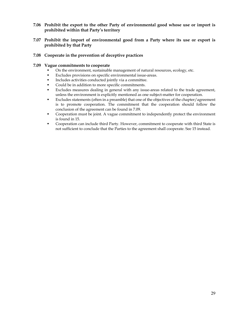- **7.06 Prohibit the export to the other Party of environmental good whose use or import is prohibited within that Party's territory**
- **7.07 Prohibit the import of environmental good from a Party where its use or export is prohibited by that Party**
- **7.08 Cooperate in the prevention of deceptive practices**

### **7.09 Vague commitments to cooperate**

- On the environment, sustainable management of natural resources, ecology, etc.
- Excludes provisions on specific environmental issue-areas.
- Includes activities conducted jointly via a committee.
- Could be in addition to more specific commitments.
- Excludes measures dealing in general with any issue-areas related to the trade agreement, unless the environment is explicitly mentioned as one subject-matter for cooperation.
- Excludes statements (often in a preamble) that one of the objectives of the chapter/agreement is to promote cooperation. The commitment that the cooperation should follow the conclusion of the agreement can be found in 7.09.
- Cooperation must be joint. A vague commitment to independently protect the environment is found in 15.
- Cooperation can include third Party. However, commitment to cooperate with third State is not sufficient to conclude that the Parties to the agreement shall cooperate. See 15 instead.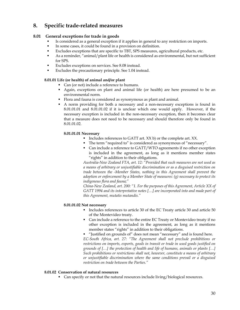### **8. Specific trade-related measures**

### **8.01 General exceptions for trade in goods**

- Is considered as a general exception if it applies in general to any restriction on imports.
- In some cases, it could be found in a provision on definition.
- Excludes exceptions that are specific to TBT, SPS measures, agricultural products, etc.
- As a reminder, "animal/plant life or health is considered as environmental, but not sufficient for SPS.
- **Excludes exceptions on services. See 8.08 instead.**
- Excludes the precautionary principle. See 1.04 instead.

### **8.01.01 Life (or health) of animal and/or plant**

- Can (or not) include a reference to humans.
- Again, exceptions on plant and animal life (or health) are here presumed to be an environmental norm.
- Flora and fauna is considered as synonymous as plant and animal.
- A norm providing for both a necessary and a non-necessary exceptions is found in 8.01.01.01 and 8.01.01.02 if it is unclear which one would apply. However, if the necessary exception is included in the non-necessary exception, then it becomes clear that a measure does not need to be necessary and should therefore only be found in 8.01.01.02.

### **8.01.01.01 Necessary**

- Includes references to GATT art.  $XX$  b) or the complete art.  $XX$ .
- The term "required to" is considered as synonymous of "necessary".
- Can include a reference to GATT/WTO agreements if no other exception is included in the agreement, as long as it mentions member states "rights" in addition to their obligations.

*Australia-New Zealand FTA, art. 12: "Provided that such measures are not used as a means of arbitrary or unjustifiable discrimination or as a disguised restriction on trade between the -Member States, nothing in this Agreement shall prevent the adoption or enforcement by a Member State of measures: (g) necessary to protect its indigenous flora and fauna;"* 

*China-New Zealand, art. 200: "1. For the purposes of this Agreement, Article XX of GATT 1994 and its interpretative notes […] are incorporated into and made part of this Agreement, mutatis mutandis."* 

### **8.01.01.02 Not necessary**

- Includes references to article 30 of the EC Treaty article 30 and article 50 of the Montevideo treaty.
- Can include a reference to the entire EC Treaty or Montevideo treaty if no other exception is included in the agreement, as long as it mentions member states "rights" in addition to their obligations.
- "Justified on grounds of" does not mean "necessary" and is found here.

*EC-South Africa, art. 27: "The Agreement shall not preclude prohibitions or restrictions on imports, exports, goods in transit or trade in used goods justified on grounds of […] the protection of health and life of humans, animals or plants […] Such prohibitions or restrictions shall not, however, constitute a means of arbitrary or unjustifiable discrimination where the same conditions prevail or a disguised restriction on trade between the Parties."* 

### **8.01.02 Conservation of natural resources**

Can specify or not that the natural resources include living/biological resources.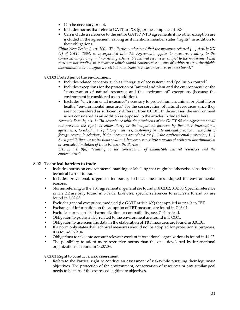- Can be necessary or not.
- Includes norms that refer to GATT art  $XX$  (g) or the complete art.  $XX$ .
- Can include a reference to the entire GATT/WTO agreements if no other exception are included in the agreement, as long as it mentions member states "rights" in addition to their obligations.

*China-New Zealand, art. 200: "The Parties understand that the measures referred […] Article XX (g) of GATT 1994, as incorporated into this Agreement, applies to measures relating to the conservation of living and non-living exhaustible natural resources, subject to the requirement that they are not applied in a manner which would constitute a means of arbitrary or unjustifiable discrimination or a disguised restriction on trade in goods or services or investment."* 

### **8.01.03 Protection of the environment**

- Includes related concepts, such as "integrity of ecosystem" and "pollution control".
- Includes exceptions for the protection of "animal and plant and the environment" or the "conservation of natural resources and the environment" exceptions (because the environment is considered as an addition).
- Excludes "environmental measures" necessary to protect human, animal or plant life or health, "environmental measures" for the conservation of natural resources since they are not considered as sufficiently different from 8.01.01. In those cases, the environment is not considered as an addition as opposed to the articles included here.

*Armenia-Estonia, art. 8: "In accordance with the provisions of the GATT-94 the Agreement shall not preclude the rights of either Party or its obligations foreseen by the other international agreements, to adopt the regulatory measures, customary in international practice in the field of foreign economic relations, if the measures are related to: […] the environmental protection; […] Such prohibitions or restrictions shall not, however, constitute a means of arbitrary discrimination or concealed limitation of trade between the Parties."* 

*SADC, art. 9(h): "relating to the conservation of exhaustible natural resources and the environment".* 

### **8.02 Technical barriers to trade**

- Includes norms on environmental marking or labelling that might be otherwise considered as technical barrier to trade.
- Includes provisional, urgent or temporary technical measures adopted for environmental reasons.
- Norms referring to the TBT agreement in general are found in 8.02.02, 8.02.03. Specific reference article 2.2 are only found in 8.02.02. Likewise, specific references to articles 2.10 and 5.7 are found in 8.02.03.
- Excludes general exceptions modeled (i.e.GATT article XX) that applied *inter alia* to TBT.
- **Exchange of information on the adoption of TBT measure are found in 7.03.04.**
- Excludes norms on TBT harmonization or compatibility, see. 7.04 instead.
- Obligation to publish TBT related to the environment are found in 3.03.01.
- Obligation to use scientific data in the elaboration of TBT measures are found in 3.01.01.
- If a norm only states that technical measures should not be adopted for protectionist purposes, it is found in 2.04.
- Obligations to take into account relevant work of international organizations is found in 14.07.
- The possibility to adopt more restrictive norms than the ones developed by international organizations is found in 14.07.03.

### **8.02.01 Right to conduct a risk assessment**

 Refers to the Parties' right to conduct an assessment of riskswhile pursuing their legitimate objectives. The protection of the environment, conservation of resources or any similar goal needs to be part of the expressed legitimate objectives.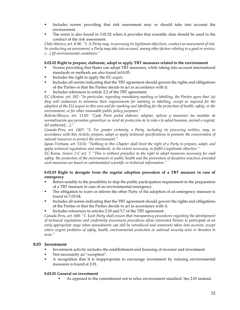- Includes norms providing that risk assessment may or should take into account the environment.
- The norm is also found in 3.01.02 when it provides that scientific data should be used in the conduct of the risk assessment.

*Chile-Mexico, art. 8-06: "1. A Party may, in pursuing its legitimate objectives, conduct an assessment of risk. In conducting an assessment, a Party may take into account, among other factors relating to a good or service: (…) (f) environmental conditions."* 

### **8.02.02 Right to prepare, elaborate, adopt or apply TBT measures related to the environment**

- Norms providing that States can adopt TBT measures, while taking into account international standards or methods are also found in14.05.
- Includes the right to apply the EU *acquis.*
- Includes all norms indicating that the TBT agreement should govern the rights and obligations of the Parties or that the Parties decide to act in accordance with it.
- Includes references to article 2.2 of the TBT agreement.

*EC-Ukraine, art. 582: "In particular, regarding mandatory marking or labelling, the Parties agree that: (a) they will endeavour to minimise their requirements for marking or labelling, except as required for the adoption of the EU acquis in this area and for marking and labelling for the protection of health, safety, or the environment, or for other reasonable public policy purposes;"* 

*Bolivia-Mexico, art. 13.05: "Cada Parte podrá elaborar, adoptar, aplicar y mantener las medidas de normalización que permitan garantizar su nivel de protección de la vida o la salud humana, animal o vegetal, del ambiente[…]."* 

*Canada-Peru, art. 1407: "5. For greater certainty, a Party, including its procuring entities, may, in accordance with this Article, prepare, adopt or apply technical specifications to promote the conservation of natural resources or protect the environment."* 

*Japan-Vietnam, art. 51(3): "Nothing in this Chapter shall limit the right of a Party to prepare, adopt, and apply technical regulations and standards, to the extent necessary, to fulfill a legitimate objective."* 

*EC-Korea, Annex 2-C art. 7: "This is without prejudice to the right to adopt measures necessary for road safety, the protection of the environment or public health and the prevention of deceptive practices provided such measures are based on substantiated scientific or technical information."* 

### **8.02.03 Right to derogate from the regular adoption procedure of a TBT measure in case of emergency**

- Refers notably to the possibility to skip the public participation requirement in the preparation of a TBT measure in case of an environmental emergency.
- The obligation to warn or inform the other Party of the adoption of an emergency measure is found in 7.03.04.
- Includes all norms indicating that the TBT agreement should govern the rights and obligations of the Parties or that the Parties decide to act in accordance with it.
- Includes references to articles 2.10 and 5.7 of the TBT agreement.

*Canada-Peru, art. 608: "1. Each Party shall ensure that transparency procedures regarding the development of technical regulations and conformity assessment procedures allow interested Parties to participate at an early appropriate stage when amendments can still be introduced and comments taken into account, except where urgent problems of safety, health, environmental protection or national security arise or threaten to arise."* 

### **8.03 Investment**

- Investment activity includes the establishment and licensing of investor and investment.
- Not necessarily an "exception".
- A recognition that it is inappropriate to encourage investment by relaxing environmental measures is found at 2.01.

### **8.03.01 General on investment**

As opposed to the commitment not to relax environment standard. See 2.01 instead.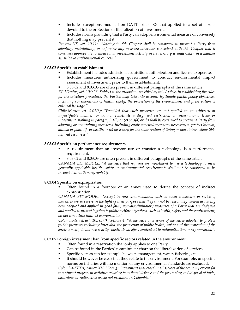- Includes exceptions modeled on GATT article XX that applied to a set of norms devoted to the protection or liberalization of investment.
- Includes norms providing that a Party can adopt environmental measure or conversely that nothing may prevent it.

*Panama-US, art. 10.11: "Nothing in this Chapter shall be construed to prevent a Party from*  adopting, maintaining, or enforcing any measure otherwise consistent with this Chapter that it *considers appropriate to ensure that investment activity in its territory is undertaken in a manner sensitive to environmental concern."* 

### **8.03.02 Specific on establishment**

- Establishment includes admission, acquisition, authorization and license to operate.
- Includes measures authorizing government to conduct environmental impact assessment of investment prior to their establishment.
- 8.03.02 and 8.03.03 are often present in different paragraphs of the same article.

*EC-Ukraine, art. 104: "6. Subject to the provisions specified by this Article, in establishing the rules for the selection procedure, the Parties may take into account legitimate public policy objectives, including considerations of health, safety, the protection of the environment and preservation of cultural heritage."* 

*Chile-Mexico art. 9.07(6): "Provided that such measures are not applied in an arbitrary or unjustifiable manner, or do not constitute a disguised restriction on international trade or investment, nothing in paragraph 1(b) or (c) or 3(a) or (b) shall be construed to prevent a Party from adopting or maintaining measures, including environmental measures necessary to protect human, animal or plant life or health; or (c) necessary for the conservation of living or non-living exhaustible natural resources."* 

### **8.03.03 Specific on performance requirements**

- A requirement that an investor use or transfer a technology is a performance requirement.
- 8.03.02 and 8.03.03 are often present in different paragraphs of the same article.

*CANADA BIT MODEL: "A measure that requires an investment to use a technology to meet generally applicable health, safety or environmental requirements shall not be construed to be inconsistent with paragraph 1(f)."* 

### **8.03.04 Specific on expropriation**

 Often found in a footnote or an annex used to define the concept of indirect expropriation.

*CANADA BIT MODEL: "Except in rare circumstances, such as when a measure or series of measures are so severe in the light of their purpose that they cannot be reasonably viewed as having*  been adopted and applied in good faith, non-discriminatory measures of a Party that are designed *and applied to protect legitimate public welfare objectives, such as health, safety and the environment, do not constitute indirect expropriation"* 

*Colombia-Israel, art. 10.7(3)d) footnote 4: "A measure or a series of measures adopted to protect public purposes including inter alia, the protection of public health, safety and the protection of the environment, do not necessarily constitute an effect equivalent to nationalization or expropriation".* 

### **8.03.05 Foreign investment ban from specific sectors related to the environment**

- Often found in a reservation that only applies to one Party.
- Can be found in the Parties' commitment chart on the liberalization of services.
- Specific sectors can for example be waste management, water, fisheries, etc.
- It should however be clear that they relate to the environment. For example, unspecific norms on fisheries with no mention of any environmental standards are excluded.

*Colombia-EFTA, Annex XV: "Foreign investment is allowed in all sectors of the economy except for investment projects in activities relating to national defense and the processing and disposal of toxic, hazardous or radioactive waste not produced in Colombia."*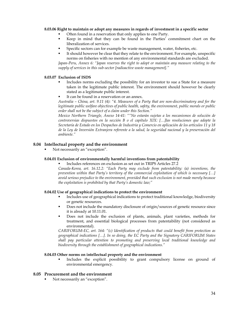### **8.03.06 Right to maintain or adopt any measures in regards of investment in a specific sector**

- Often found in a reservation that only applies to one Party.
- Keep in mind that they can be found in the Parties' commitment chart on the liberalization of services.
- Specific sectors can for example be waste management, water, fisheries, etc.
- It should however be clear that they relate to the environment. For example, unspecific norms on fisheries with no mention of any environmental standards are excluded.

*Japan-Peru, Annex 6: "Japan reserves the right to adopt or maintain any measure relating to the supply of services in this sub-sector [radioactive waste management]."* 

### **8.03.07 Exclusion of ISDS**

- Includes norms excluding the possibility for an investor to sue a State for a measure taken in the legitimate public interest. The environment should however be clearly stated as a legitimate public interest.
- It can be found in a reservation or an annex.

*Australia – China, art. 9.11 (4): "4. Measures of a Party that are non-discriminatory and for the legitimate public welfare objectives of public health, safety, the environment, public morals or public order shall not be the subject of a claim under this Section."* 

*Mexico Northern Triangle, Anexo 14-41: ""No estarán sujetas a los mecanismos de solución de controversias dispuestos en la sección B o el capítulo XIX: […]las resoluciones que adopte la Secretaría de Estado en los Despachos de Industria y Comercio en aplicación de los artículos 11 y 18 de la Ley de Inversión Extranjera referente a la salud, la seguridad nacional y la preservación del ambiente."* 

### **8.04 Intellectual property and the environment**

Not necessarily an "exception".

### **8.04.01 Exclusion of environmentally harmful inventions from patentability**

Includes references on exclusion as set out in TRIPS Articles 27.2

*Canada-Korea, art. 16.12.2: "Each Party may exclude from patentability: (a) inventions, the prevention within that Party's territory of the commercial exploitation of which is necessary […] avoid serious prejudice to the environment, provided that such exclusion is not made merely because the exploitation is prohibited by that Party's domestic law;"* 

### **8.04.02 Use of geographical indications to protect the environment**

- Includes use of geographical indications to protect traditional knowledge, biodiversity or genetic resources.
- Does not include the mandatory disclosure of origin/sources of genetic resource since it is already at 10.11.01.
- Does not include the exclusion of plants, animals, plant varieties, methods for treatment, and essential biological processes from patentability (not considered as environmental).

*CARIFORUM-EC, art. 164: "(c) Identification of products that could benefit from protection as geographical indications […]. In so doing, the EC Party and the Signatory CARIFORUM States shall pay particular attention to promoting and preserving local traditional knowledge and biodiversity through the establishment of geographical indications."* 

### **8.04.03 Other norms on intellectual property and the environment**

 Includes the explicit possibility to grant compulsory license on ground of environmental emergency.

### **8.05 Procurement and the environment**

Not necessarily an "exception".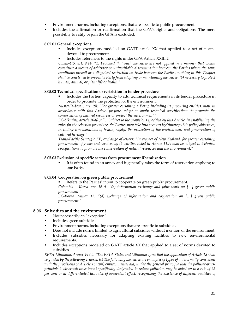- Environment norms, including exceptions, that are specific to public procurement.
- Includes the affirmation or reaffirmation that the GPA's rights and obligations. The mere possibility to ratify or join the GPA is excluded.

### **8.05.01 General exceptions**

- Includes exceptions modeled on GATT article XX that applied to a set of norms devoted to procurement.
- Includes references to the rights under GPA Article XXIII.2.

*Oman-US, art. 9.14: "1. Provided that such measures are not applied in a manner that would constitute a means of arbitrary or unjustifiable discrimination between the Parties where the same conditions prevail or a disguised restriction on trade between the Parties, nothing in this Chapter shall be construed to prevent a Party from adopting or maintaining measures: (b) necessary to protect human, animal, or plant life or health."* 

#### **8.05.02 Technical specification or restriction in tender procedure**

 Includes the Parties' capacity to add technical requirements in its tender procedure in order to promote the protection of the environment.

*Australia-Japan, art. (8): "For greater certainty, a Party, including its procuring entities, may, in accordance with this Article, prepare, adopt or apply technical specifications to promote the conservation of natural resources or protect the environment."* 

*EC-Ukraine, article 104(6): "6. Subject to the provisions specified by this Article, in establishing the rules for the selection procedure, the Parties may take into account legitimate public policy objectives, including considerations of health, safety, the protection of the environment and preservation of cultural heritage."* 

*Trans-Pacific Strategic EP, exchange of letters: "In respect of New Zealand, for greater certainty, procurement of goods and services by its entities listed in Annex 11.A may be subject to technical specifications to promote the conservation of natural resources and the environment."* 

#### **8.05.03 Exclusion of specific sectors from procurement liberalization**

 It is often found in an annex and it generally takes the form of reservation applying to one Party.

#### **8.05.04 Cooperation on green public procurement**

Refers to the Parties' intent to cooperate on green public procurement.

*Colombia – Korea, art. 16-A: "(b) information exchange and joint work on […] green public procurement."* 

*EC-Korea, Annex 13: "(d) exchange of information and cooperation on […] green public procurement."* 

### **8.06 Subsidies and the environment**

- Not necessarily an "exception".
- Includes green subsidies.
- Environment norms, including exceptions that are specific to subsidies.
- Does not include norms limited to agricultural subsidies without mention of the environment.
- Includes subsidies necessary for adapting existing facilities to new environmental requirements.
- Includes exceptions modeled on GATT article XX that applied to a set of norms devoted to subsidies.

*EFTA-Lithuania, Annex VI (c): "The EFTA States and Lithuania agree that the application of Article 18 shall be guided by the following criteria: (c)* The following measures are examples of types of aid normally consistent *with the provisions of Article 18: (vii) environmental aid, under the general principle that the polluter-paysprinciple is observed; investment specifically designated to reduce pollution may be aided up to a rate of 25 per cent or at differentiated tax rates of equivalent effect; recognizing the existence of different qualities of*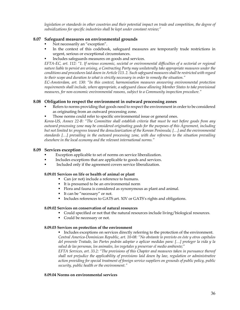*legislation or standards in other countries and their potential impact on trade and competition, the degree of subsidizations for specific industries shall be kept under constant review;"* 

### **8.07 Safeguard measures on environmental grounds**

- Not necessarily an "exception".
- In the context of this codebook, safeguard measures are temporarily trade restrictions in urgent, serious or exceptional circumstances.
- Includes safeguards measures on goods and services.

*EFTA-EC, art. 112: "1. If serious economic, societal or environmental difficulties of a sectorial or regional nature liable to persist are arising, a Contracting Party may unilaterally take appropriate measures under the conditions and procedures laid down in Article 113. 2. Such safeguard measures shall be restricted with regard to their scope and duration to what is strictly necessary in order to remedy the situation."* 

*EC-Amsterdam, art. 130: "In this context, harmonisation measures answering environmental protection requirements shall include, where appropriate, a safeguard clause allowing Member States to take provisional measures, for non-economic environmental reasons, subject to a Community inspection procedure."* 

### **8.08 Obligation to respect the environment in outward processing zones**

- Refers to norms providing that goods need to respect the environment in order to be considered as originating from an outward processing zone.
- Those norms could refer to specific environmental issue or general ones.

*Korea-US, Annex 22-B: "The Committee shall establish criteria that must be met before goods from any outward processing zone may be considered originating goods for the purposes of this Agreement, including but not limited to: progress toward the denuclearization of the Korean Peninsula; […] and the environmental standards […] prevailing in the outward processing zone, with due reference to the situation prevailing elsewhere in the local economy and the relevant international norms."* 

### **8.09 Services exception**

- Exception applicable to set of norms on service liberalization.
- Includes exceptions that are applicable to goods and services.
- Included only if the agreement covers service liberalization.

### **8.09.01 Services on life or health of animal or plant**

- Can (or not) include a reference to humans.
	- It is presumed to be an environmental norm
	- Flora and fauna is considered as synonymous as plant and animal.
	- It can be "necessary" or not.
	- Includes references to GATS art. XIV or GATS's rights and obligations.

### **8.09.02 Services on conservation of natural resources**

- Could specified or not that the natural resources include living/biological resources.
- Could be necessary or not.

### **8.09.03 Services on protection of the environment**

Includes exceptions on services directly referring to the protection of the environment. *Central America-Dominican Republic, art. 10-08: "No obstante lo previsto en éste y otros capítulos del presente Tratado, las Partes podrán adoptar o aplicar medidas para: […] proteger la vida y la salud de las personas, los animales, los vegetales y preservar el medio ambiente;"* 

*EFTA Services, art. 33.2: "The provisions of this Chapter and measures taken in pursuance thereof shall not prejudice the applicability of provisions laid down by law, regulation or administrative action providing for special treatment of foreign service suppliers on grounds of public policy, public security, public health or the environment."* 

### **8.09.04 Norms on environmental services**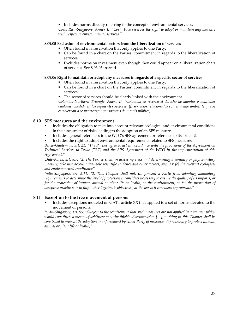Includes norms directly referring to the concept of environmental services.

*Costa Rica-Singapore, Annex II: "Costa Rica reserves the right to adopt or maintain any measure with respect to environmental services."* 

# **8.09.05 Exclusion of environmental sectors from the liberalization of services**

- Often found in a reservation that only applies to one Party.
- Can be found in a chart on the Parties' commitment in regards to the liberalization of services.
- Excludes norms on investment even though they could appear on a liberalization chart of services. See 8.03.05 instead.

# **8.09.06 Right to maintain or adopt any measures in regards of a specific sector of services**

- Often found in a reservation that only applies to one Party.
- Can be found in a chart on the Parties' commitment in regards to the liberalization of services.
- The sector of services should be clearly linked with the environment.

*Colombia-Northern Triangle, Anexo II: "Colombia se reserva el derecho de adoptar o mantener cualquier medida en los siguientes sectores: (f) servicios relacionados con el medio ambiente que se establezcan o se mantengan por razones de interés público;* 

# **8.10 SPS measures and the environment**

- Includes the obligation to take into account relevant ecological and environmental conditions in the assessment of risks leading to the adoption of an SPS measure.
- Includes general references to the WTO's SPS agreement or reference to its article 5.
- Includes the right to adopt environmental requirements related to SPS measures.

*Belize-Guatemala, art. 21: "The Parties agree to act in accordance with the provisions of the Agreement on Technical Barriers to Trade (TBT) and the SPS Agreement of the WTO in the implementation of this Agreement."* 

*Chile-Korea, art. 8.7: "2. The Parties shall, in assessing risks and determining a sanitary or phytosanitary measure, take into account available scientific evidence and other factors, such as: (c) the relevant ecological and environmental conditions;"* 

*India-Singapore, art. 5.11: "2. This Chapter shall not: (b) prevent a Party from adopting mandatory requirements to determine the level of protection it considers necessary to ensure the quality of its imports, or for the protection of human, animal or plant life or health, or the environment, or for the prevention of deceptive practices or to fulfil other legitimate objectives, at the levels it considers appropriate."* 

# **8.11 Exception to the free movement of persons**

 Includes exceptions modeled on GATT article XX that applied to a set of norms devoted to the movement of persons.

*Japan-Singapore, art. 95: "Subject to the requirement that such measures are not applied in a manner which would constitute a means of arbitrary or unjustifiable discrimination […], nothing in this Chapter shall be construed to prevent the adoption or enforcement by either Party of measures: (b) necessary to protect human, animal or plant life or health;"*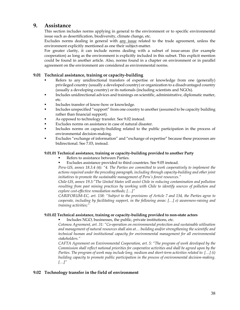# **9. Assistance**

This section includes norms applying in general to the environment or to specific environmental issue such as desertification, biodiversity, climate change, etc.

Excludes norms dealing in general with any issue related to the trade agreement, unless the environment explicitly mentioned as one their subject-matter.

For greater clarity, it can include norms dealing with a subset of issue-areas (for example cooperation) as long as the environment is explicitly included in this subset. This explicit mention could be found in another article. Also, norms found in a chapter on environment or in parallel agreement on the environment are considered as environmental norms.

# **9.01 Technical assistance, training or capacity-building**

- Refers to any unidirectional transfers of expertise or knowledge from one (generally) privileged country (usually a developed country) or organization to a disadvantaged country (usually a developing country) or its nationals (including scientists and NGOs).
- Includes unidirectional advices and trainings on scientific, administrative, diplomatic matter, etc.
- Includes transfer of know-how or knowledge.
- Includes unspecified "support" from one country to another (assumed to be capacity building rather than financial support).
- As opposed to technology transfer. See 9.02 instead.
- Excludes norms on assistance in case of natural disaster.
- Includes norms on capacity-building related to the public participation in the process of environmental decision-making.
- Excludes "exchange of information" and "exchange of expertise" because these processes are bidirectional. See 7.03, instead.

# **9.01.01 Technical assistance, training or capacity-building provided to another Party**

- Refers to assistance between Parties.
- Excludes assistance provided to third countries. See 9.05 instead.

*Peru-US, annex 18.3.4 (4): "4. The Parties are committed to work cooperatively to implement the actions required under the preceding paragraph, including through capacity-building and other joint initiatives to promote the sustainable management of Peru's forest resources."* 

*Chile-US, annex 19.3:"The United States will assist Chile in reducing contamination and pollution resulting from past mining practices by working with Chile to identify sources of pollution and explore cost-effective remediation methods; […]"* 

*CARIFORUM-EC, art. 138: "Subject to the provisions of Article 7 and 134, the Parties agree to cooperate, including by facilitating support, in the following areas: […] e) awareness-raising and training activities;"* 

# **9.01.02 Technical assistance, training or capacity-building provided to non-state actors**

Includes NGO, businesses, the public, private institutions, etc.

*Cotonou Agreement, art. 31: "Co-operation on environmental protection and sustainable utilisation and management of natural resources shall aim at… building and/or strengthening the scientific and technical human and institutional capacity for environmental management for all environmental stakeholders."* 

*CAFTA Agreement on Environmental Cooperation, art. 5: "The program of work developed by the Commission shall reflect national priorities for cooperative activities and shall be agreed upon by the Parties. The program of work may include long, medium and short-term activities related to: […] (i) building capacity to promote public participation in the process of environmental decision-making. […]"*

# **9.02 Technology transfer in the field of environment**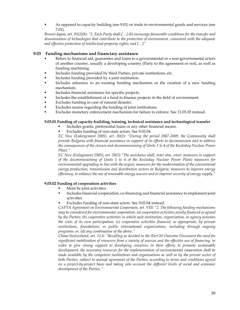As opposed to capacity building (see 9.01) or trade in environmental goods and services (see 7.01).

*Brunei-Japan, art. 93(2)(b): "2. Each Party shall:[…] (b) encourage favourable conditions for the transfer and dissemination of technologies that contribute to the protection of environment, consistent with the adequate and effective protection of intellectual property rights; and […]"* 

# **9.03 Funding mechanisms and financiary assistance**

- Refers to financial aid, guaranties and loans to a governmental or a non-governmental actors of another country, usually a developing country (Party to the agreement or not), as well as funding machining.
- Includes funding provided by third Parties, private institutions, etc.
- Includes funding provided by a joint institution.
- Includes reference to an existing funding mechanism or the creation of a new funding mechanism.
- Includes financial assistance for specific projects.
- Includes the establishment of a fund to finance projects in the field of environment.
- Excludes funding in case of natural disaster.
- Excludes norms regarding the funding of joint institutions.
- Excludes monetary enforcement mechanism for failure to enforce. See 13.03.02 instead.

# **9.03.01 Funding of capacity-building, training, technical assistance and technological transfer**

- Includes grants, preferential loans or any other financial means.
- Excludes funding of non-state actors. See 9.03.04.

*EC Nice (Enlargement 2005), art. 30(2): "During the period 2007-2009, the Community shall provide Bulgaria with financial assistance in support of its efforts to decommission and to address the consequences of the closure and decommissioning of Units 1 to 4 of the Kozloduy Nuclear Power Plant."* 

*EC Nice (Enlagement 2005), art. 30(2) "The assistance shall, inter alia, cover: measures in support of the decommissioning of Units 1 to 4 of the Kozloduy Nuclear Power Plant; measures for environmental upgrading in line with the acquis; measures for the modernisation of the conventional energy production, transmission and distribution sectors in Bulgaria; measures to improve energy efficiency, to enhance the use of renewable energy sources and to improve security of energy supply."* 

# **9.03.02 Funding of cooperation activities**

- Must be joint activities.
- Includes financial cooperation, co-financing and financial assistance to implement joint activities.
- Excludes funding of non-state actors. See 9.03.04 instead.

*CAFTA Agreement on Environmental Cooperaion, art. VIII: "2. The following funding mechanisms may be considered for environmental cooperation: (a) cooperative activities jointly financed as agreed by the Parties; (b) cooperative activities in which each institution, organization, or agency assumes the costs of its own participation; (c) cooperative activities financed, as appropriate, by private institutions, foundations, or public international organizations, including through ongoing programs; or, (d) any combination of the above."* 

*China-Switzerland, art. 12.6: "Recalling as decided in the Rio+20 Outcome Document the need for significant mobilisation of resources from a variety of sources and the effective use of financing, in order to give strong support to developing countries in their efforts to promote sustainable development, the necessary resources for the implementation of environmental cooperation shall be made available by the competent institutions and organisations as well as by the private sector of both Parties, subject to mutual agreement of the Parties, according to terms and conditions agreed on a project-by-project basis and taking into account the different levels of social and economic development of the Parties."*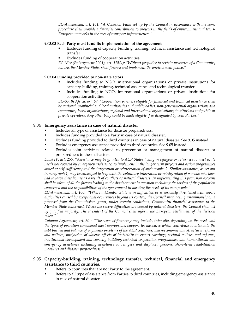*EC-Amsterdam, art. 161: "A Cohesion Fund set up by the Council in accordance with the same procedure shall provide a financial contribution to projects in the fields of environment and trans-European networks in the area of transport infrastructure."* 

### **9.03.03 Each Party must fund its implementation of the agreement**

- Excludes funding of capacity building, training, technical assistance and technological transfer
- **Excludes funding of cooperation activities**

*EC Nice (Enlargement 2001), art. 175(4): "Without prejudice to certain measures of a Community nature, the Member States shall finance and implement the environment policy."* 

## **9.03.04 Funding provided to non-state actors**

- Includes funding to NGO, international organizations or private institutions for capacity-building, training, technical assistance and technological transfer.
- Includes funding to NGO, international organizations or private institutions for cooperation activities

*EC-South Africa, art. 67: "Cooperation partners eligible for financial and technical assistance shall be national, provincial and local authorities and public bodies, non-governmental organisations and community-based organisations, regional and international organisations, institutions and public or private operators. Any other body could be made eligible if so designated by both Parties."* 

### **9.04 Emergency assistance in case of natural disaster**

- Includes all type of assistance for disaster preparedness.
- Includes funding provided to a Party in case of natural disaster.
- Excludes funding provided to third countries in case of natural disaster. See 9.05 instead.
- Excludes emergency assistance provided to third countries. See 9.05 instead.
- Excludes joint activities related to prevention or management of natural disaster or preparedness to these disasters.

*Lomé IV, art. 255: "Assistance may be granted to ACP States taking in refugees or returnees to meet acute needs not covered by emergency assistance, to implement in the longer term projects and action programmes aimed at self-sufficiency and the integration or reintegration of such people. 2. Similar assistance, as set out in paragraph 1, may be envisaged to help with the voluntary integration or reintegration of persons who have had to leave their homes as a result of conflicts or natural disasters. In implementing this provision account shall be taken of all the factors leading to the displacement in question including the wishes of the population concerned and the responsibilities of the government in meeting the needs of its own people."* 

*EC-Amsterdam, art. 100: "Where a Member State is in difficulties or is seriously threatened with severe difficulties caused by exceptional occurrences beyond its control, the Council may, acting unanimously on a proposal from the Commission, grant, under certain conditions, Community financial assistance to the Member State concerned. Where the severe difficulties are caused by natural disasters, the Council shall act by qualified majority. The President of the Council shall inform the European Parliament of the decision taken."* 

*Cotonou Agreement, art. 60 : "The scope of financing may include, inter alia, depending on the needs and the types of operation considered most appropriate, support to: measures which contribute to attenuate the debt burden and balance of payments problems of the ACP countries; macroeconomic and structural reforms and policies; mitigation of adverse effects of instability in export earnings; sectoral policies and reforms; institutional development and capacity building; technical cooperation programmes; and humanitarian and emergency assistance including assistance to refugees and displaced persons, short-term rehabilitation measures and disaster preparedness."* 

# **9.05 Capacity-building, training, technology transfer, technical, financial and emergency assistance to third countries.**

- Refers to countries that are not Party to the agreement.
- Refers to all type of assistance from Parties to third countries, including emergency assistance in case of natural disaster.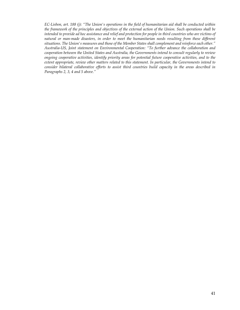*EC-Lisbon, art. 188 (j): "The Union's operations in the field of humanitarian aid shall be conducted within the framework of the principles and objectives of the external action of the Union. Such operations shall be intended to provide ad hoc assistance and relief and protection for people in third countries who are victims of natural or man-made disasters, in order to meet the humanitarian needs resulting from these different situations. The Union's measures and those of the Member States shall complement and reinforce each other." Australia-US, Joint statement on Environmental Cooperation: "To further advance the collaboration and cooperation between the United States and Australia, the Governments intend to consult regularly to review ongoing cooperative activities, identify priority areas for potential future cooperative activities, and to the extent appropriate, review other matters related to this statement. In particular, the Governments intend to consider bilateral collaborative efforts to assist third countries build capacity in the areas described in Paragraphs 2, 3, 4 and 5 above."*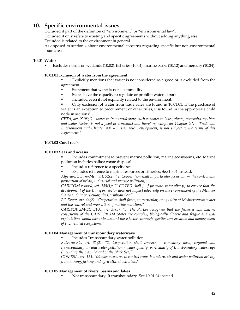# **10. Specific environmental issues**

Excluded if part of the definition of "environment" or "environmental law".

Excluded if only refers to existing and specific agreements without adding anything else.

Excluded is related to the environment in general.

As opposed to section 4 about environmental concerns regarding specific but non-environmental issue-areas.

# **10.01 Water**

Excludes norms on wetlands (10.02), fisheries (10.04), marine parks (10.12) and mercury (10.24).

# **10.01.01 Exclusion of water from the agreement**

 Explicitly mentions that water is not considered as a good or is excluded from the agreement.

- Statement that water is not a commodity.
- States have the capacity to regulate or prohibit water exports.
- Included even if not explicitly related to the environment.

 Only exclusion of water from trade rules are found in 10.01.01. If the purchase of water is an exception to procurement or other rules, it is found in the appropriate child node in section 8.

*CETA, art. X.08(1): "water in its natural state, such as water in lakes, rivers, reservoirs, aquifers and water basins, is not a good or a product and therefore, except for Chapter XX – Trade and Environment and Chapter XX – Sustainable Development, is not subject to the terms of this Agreement."* 

# **10.01.02 Coral reefs**

# **10.01.03 Seas and oceans**

 Includes commitment to prevent marine pollution, marine ecosystems, etc. Marine pollution includes ballast waste disposal.

- Includes reference to a specific sea.
- Excludes reference to marine resources or fisheries. See 10.04 instead.

*Algeria-EC Euro-Med, art. 52(2): "2. Cooperation shall in particular focus on: — the control and prevention of urban, industrial and marine pollution,"* 

*CARICOM revised, art. 135(1): "1.COTED shall […] promote, inter alia: (i) to ensure that the development of the transport sector does not impact adversely on the environment of the Member States and, in particular, the Caribbean Sea;"* 

*EC-Egypt, art. 44(2): "Cooperation shall focus, in particular, on: quality of Mediterranean water and the control and prevention of marine pollution,"* 

*CARIFORUM-EC EPA, art. 37(3): "3. The Parties recognise that the fisheries and marine ecosystems of the CARIFORUM States are complex, biologically diverse and fragile and that exploitation should take into account these factors through effective conservation and management of […] related ecosystems."* 

# **10.01.04 Management of transboundary waterways**

Includes "transboundary water pollution".

*Bulgaria-EC, art. 81(2): "2. Cooperation shall concern: - combating local, regional and transboundary air and water pollution - water quality, particularly of transboundary waterways (including the Danube and of the Black Sea)"* 

*COMESA, art. 124: "(e) take measures to control trans-boundary, air and water pollution arising from mining, fishing and agricultural activities."* 

# **10.01.05 Management of rivers, basins and lakes**

Not transboundary. If transboundary. See 10.01.04 instead.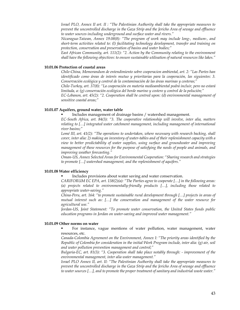*Israel PLO, Annex II art. II : "The Palestinian Authority shall take the appropriate measures to prevent the uncontrolled discharge in the Gaza Strip and the Jericho Area of sewage and effluence to water sources including underground and surface water and rivers."* 

*Nicaragua-Taiwan, Annex 19.08(8): "The program of work may include long-, medium-, and short-term activities related to: (l) facilitating technology development, transfer and training on protection, conservation and preservation of basins and water bodies;"* 

*East African Community, art. 111(2): "2. Action by the Community relating to the environment shall have the following objectives: to ensure sustainable utilisation of natural resources like lakes."* 

#### **10.01.06 Protection of coastal areas**

*Chile-China, Memorandum de entendimiento sobre cooperacion ambiental, art. 2: "Las Partes han identificado como áreas de interés mutuo y prioritarias para la cooperación, las siguientes: 3. Conservación ecológica y control de la contaminación de las áreas marinas y costeras;"* 

*Chile-Turkey, art. 37(8): "La cooperación en materia medioambiental podrá incluir, pero no estará limitada, a: (g) conservación ecológica del borde marino y costero y control de la polución;"* 

*EC-Lebanon, art. 45(2): "2. Cooperation shall be centred upon: (d) environmental management of sensitive coastal areas;"* 

### **10.01.07 Aquifers, ground water, water table**

Includes management of drainage basins / watershed management.

*EC-South Africa, art. 84(3): "3. The cooperative relationship will involve, inter alia, matters relating to […] integrated water catchment management, including management of international river basins;"* 

*Lomé III, art. 41(2): "The operations to undertaken, where necessary with research backing, shall cover, inter alia: 2) making an inventory of water-tables and of their replenishment capacity with a view to better predictability of water supplies, using surface and groundwater and improving management of these resources for the purpose of satisfying the needs of people and animals, and improving weather forecasting."* 

*Oman-US, Annex Selected Areas for Environmental Cooperation: "Sharing research and strategies to promote […] watershed management, and the replenishment of aquifers."* 

#### **10.01.08 Water efficiency**

Includes provisions about water saving and water conservation.

*CARIFORUM EC EPA, art. 138(2)(a): "The Parties agree to cooperate […] in the following areas: (a) projects related to environmentally-friendly products […], including those related to appropriate water-saving."* 

*China-Peru, art. 164: "to promote sustainable rural development through […] projects in areas of mutual interest such as: […] the conservation and management of the water resource for agricultural use."* 

*Jordan-US, Joint Statement: "To promote water conservation, the United States funds public education programs in Jordan on water-saving and improved water management."* 

#### **10.01.09 Other norms on water**

 For instance, vague mentions of water pollution, water management, water resources, etc.

*Canada-Colombia Agreement on the Environment, Annex I: "The priority areas identified by the Republic of Colombia for consideration in the initial Work Program include, inter alia: (g) air, soil and water pollution prevention management and control;"* 

*Bulgaria-EC, art. 81(3): "3. Cooperation shall take place notably through: - improvement of the environmental management, inter alia water management."* 

*Israel PLO Annex II, art. II: "The Palestinian Authority shall take the appropriate measures to prevent the uncontrolled discharge in the Gaza Strip and the Jericho Area of sewage and effluence to water sources […], and to promote the proper treatment of sanitary and industrial waste water."*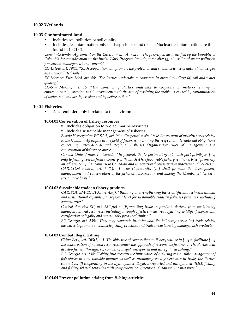## **10.02 Wetlands**

### **10.03 Contaminated land**

- Includes soil pollution or soil quality.
- Includes decontamination only if it is specific to land or soil. Nuclear decontamination are thus found in 10.21.02.

*Canada-Colombia Agreement on the Environment, Annex I: "The priority areas identified by the Republic of Colombia for consideration in the initial Work Program include, inter alia: (g) air, soil and water pollution prevention management and control;"* 

*EC-Latvia, art. 79(1): "Such cooperation will promote the protection and sustainable use of natural landscapes and non-polluted soils."* 

*EC-Morocco Euro-Med, art. 48: "The Parties undertake to cooperate in areas including: (a) soil and water quality;"* 

*EC-San Marino, art. 16: "The Contracting Parties undertake to cooperate on matters relating to environmental protection and improvement with the aim of resolving the problems caused by contamination of water, soil and air, by erosion and by deforestation."* 

### **10.04 Fisheries**

As a reminder, only if related to the environment

#### **10.04.01 Conservation of fishery resources**

- **Includes obligation to protect marine resources.**
- Includes sustainable management of fisheries.

*Bosnia Herzegovina-EC SAA, art. 96 : "Cooperation shall take due account of priority areas related to the Community acquis in the field of fisheries, including the respect of international obligations concerning International and Regional Fisheries Organisation rules of management and conservation of fishery resources."* 

*Canada-Chile, Annex I - Canada: "In general, the Department grants such port privileges […] only to fishing vessels from a country with which it has favourable fishery relations, based primarily on adherence by that country to Canadian and international conservation practices and policies." CARICOM revised, art. 60(1): "1. The Community […] shall promote the development, management and conservation of the fisheries resources in and among the Member States on a sustainable basis."* 

#### **10.04.02 Sustainable trade in fishery products**

*CARIFORUM-EC EPA, art. 45(f): "Building or strengthening the scientific and technical human and institutional capability at regional level for sustainable trade in fisheries products, including aquaculture;"* 

*Central America-EC, art. 63(2)(c) : "[P]romoting trade in products derived from sustainably managed natural resources, including through effective measures regarding wildlife, fisheries and certification of legally and sustainably produced timber."* 

*EC-Georgia, art. 239: "They may cooperate in, inter alia, the following areas: (m) trade-related measures to promote sustainable fishing practices and trade in sustainably managed fish products."* 

### **10.04.03 Combat illegal fishing**

*China-Peru, art. 163(2): "1. The objective of cooperation on fishery will be to […] to facilitate […] the conservation of natural resources, under the approach of responsible fishing. 2. The Parties will develop fishery through: (c) combat of illegal, unreported and unregulated fishing."* 

*EC-Georgia, art. 234: "Taking into account the importance of ensuring responsible management of fish stocks in a sustainable manner as well as promoting good governance in trade, the Parties commit to: (f) cooperating in the fight against illegal, unreported and unregulated (IUU) fishing and fishing related activities with comprehensive, effective and transparent measures."* 

### **10.04.04 Prevent pollution arising from fishing activities**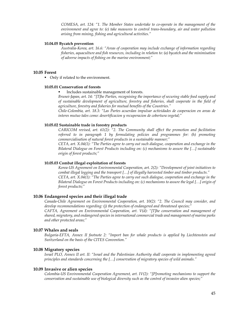*COMESA, art. 124: "1. The Member States undertake to co-operate in the management of the environment and agree to: (e) take measures to control trans-boundary, air and water pollution arising from mining, fishing and agricultural activities."* 

#### **10.04.05 Bycatch prevention**

*Australia-Korea, art. 16.6: "Areas of cooperation may include exchange of information regarding fisheries, aquaculture and fish resources, including in relation to: (a) bycatch and the minimisation of adverse impacts of fishing on the marine environment;"* 

#### **10.05 Forest**

• Only if related to the environment.

#### **10.05.01 Conservation of forests**

Includes sustainable management of forests.

*Brunei-Japan, art. 14: "[T]he Parties, recognising the importance of securing stable food supply and of sustainable development of agriculture, forestry and fisheries, shall cooperate in the field of agriculture, forestry and fisheries for mutual benefits of the Countries."* 

*Chile-Colombia, art. 18.3: "Las Partes acuerdan impulsar actividades de cooperacion en areas de interes mutuo tales como: desertificacion y recuperacion de cobertura vegetal;"* 

#### **10.05.02 Sustainable trade in forestry products**

*CARICOM revised, art. 61(2): "2. The Community shall effect the promotion and facilitation referred to in paragraph 1 by formulating policies and programmes for: (h) promoting commercialisation of natural forest products in a sustainable manner;"* 

*CETA, art. X.04(1): "The Parties agree to carry out such dialogue, cooperation and exchange in the Bilateral Dialogue on Forest Products including on: (c) mechanisms to assure the […] sustainable origin of forest products;"* 

#### **10.05.03 Combat illegal exploitation of forests**

*Korea-US Agreement on Environmental Cooperation, art. 2(2): "Development of joint initiatives to combat illegal logging and the transport […] of illegally harvested timber and timber products." CETA, art. X.04(1): "The Parties agree to carry out such dialogue, cooperation and exchange in the Bilateral Dialogue on Forest Products including on: (c) mechanisms to assure the legal […] origin of forest products;"* 

#### **10.06 Endangered species and their illegal trade**

*Canada-Chile Agreement on Environmental Cooperation, art. 10(2): "2. The Council may consider, and develop recommendations regarding: (j) the protection of endangered and threatened species;"* 

*CAFTA, Agreement on Environmental Cooperation, art. V(d): "[T]he conservation and management of shared, migratory, and endangered species in international commercial trade and management of marine parks and other protected areas;"* 

### **10.07 Whales and seals**

*Bulgaria-EFTA, Annex II footnote 2: "Import ban for whale products is applied by Liechtenstein and Switzerland on the basis of the CITES Convention."* 

#### **10.08 Migratory species**

*Israel PLO, Annex II art. II: "Israel and the Palestinian Authority shall cooperate in implementing agreed principles and standards concerning the […] conservation of migratory species of wild animals."* 

#### **10.09 Invasive or alien species**

*Colombia-US Environmental Cooperation Agreement, art. IV(2): "[P]romoting mechanisms to support the conservation and sustainable use of biological diversity such as the control of invasive alien species;"*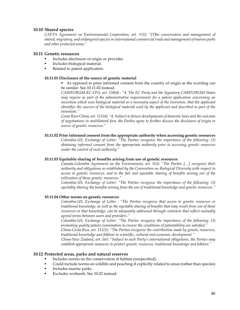### **10.10 Shared species**

*CAFTA Agreement on Environmental Cooperation, art. V(1): "[T]he conservation and management of shared, migratory, and endangered species in international commercial trade and management of marine parks and other protected areas;"* 

### **10.11 Genetic resources**

- Includes disclosure of origin or provider.
- Includes biological material.
- Related to patent application.

### **10.11.01 Disclosure of the source of genetic material**

 As opposed to prior informed consent from the country of origin as the wording can be similar. See 10.11.02 instead.

*CARIFORUM-EC EPA, art. 150(4) : "4. The EC Party and the Signatory CARIFORUM States may require as part of the administrative requirements for a patent application concerning an invention which uses biological material as a necessary aspect of the invention, that the applicant identifies the sources of the biological material used by the applicant and described as part of the invention."* 

*Costa Rica-China, art. 111(4): "4. Subject to future developments of domestic laws and the outcome of negotiations in multilateral fora, the Parties agree to further discuss the disclosure of origin or source of genetic resources."* 

### **10.11.02 Prior informed consent from the appropriate authority when accessing genetic resources**

*Colombia-US, Exchange of Letter: "The Parties recognize the importance of the following: (1) obtaining informed consent from the appropriate authority prior to accessing genetic resources under the control of such authority;"* 

### **10.11.03 Equitable sharing of benefits arising from use of genetic resources**

*Canada-Colombia Agreement on the Environment, art. 5(3): "The Parties […] recognize their authority and obligations as established by the Convention on Biological Diversity with respect to access to genetic resources, and to the fair and equitable sharing of benefits arising out of the utilization of those genetic resources."* 

*Colombia-US, Exchange of Letter: "The Parties recognize the importance of the following: (2) equitably sharing the benefits arising from the use of traditional knowledge and genetic resources."* 

### **10.11.04 Other norms on genetic resources**

*Colombia-US, Exchange of Letter : "The Parties recognize that access to genetic resources or traditional knowledge, as well as the equitable sharing of benefits that may result from use of those resources or that knowledge, can be adequately addressed through contracts that reflect mutually agreed terms between users and providers."* 

*Colombia-US, Exchange of Letter: "The Parties recognize the importance of the following: (3) promoting quality patent examination to ensure the conditions of patentability are satisfied."* 

*China-Costa Rica, art. 111(1): "The Parties recognize the contribution made by genetic resources, traditional knowledge and folklore to scientific, cultural and economic development."* 

*China-New Zealand, art. 165: "Subject to each Party's international obligations, the Parties may establish appropriate measures to protect genetic resources, traditional knowledge and folklore."* 

### **10.12 Protected areas, parks and natural reserves**

- Includes norms on the conservation of habitat (unspecified).
- Could include norms on wildlife and poaching if explicitly related to areas (rather than species)
- Includes marine parks.
- Excludes wetlands. See 10.02 instead.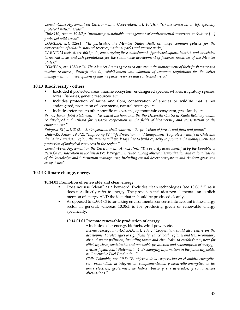*Canada-Chile Agreement on Environmental Cooperation, art. 10(1)(i): "(i) the conservation [of] specially protected natural areas;"* 

*Chile-US, Annex 19.3(3): "promoting sustainable management of environmental resources, including […] protected wild areas;"* 

*COMESA, art. 126(1): "In particular, the Member States shall: (a) adopt common policies for the conservation of wildlife, natural reserves, national parks and marine parks;"* 

*CARICOM revised, art. 60(2): "(e) encouraging the establishment of protected aquatic habitats and associated terrestrial areas and fish populations for the sustainable development of fisheries resources of the Member States;"* 

*COMESA, art. 123(4): "4. The Member States agree to co-operate in the management of their fresh water and marine resources, through the: (a) establishment and adoption of common regulations for the better management and development of marine parks, reserves and controlled areas;"* 

# **10.13 Biodiversity - others**

- Excluded if protected areas, marine ecosystem, endangered species, whales, migratory species, forest, fisheries, genetic resources, etc.
- Includes protection of fauna and flora, conservation of species or wildlife that is not endangered, protection of ecosystems, natural heritage, etc.
- Includes reference to other specific ecosystems, eg mountain ecosystem, grasslands, etc.

*Brunei-Japan, Joint Statement: "We shared the hope that the Bio-Diversity Centre in Kuala Belalong would be developed and utilised for research cooperation in the fields of biodiversity and conservation of the environment."* 

*Bulgaria-EC, art. 81(2): "2. Cooperation shall concern: - the protection of forests and flora and fauna;" Chile-US, Annex 19.3(2): "Improving Wildlife Protection and Management. To protect wildlife in Chile and the Latin American region, the Parties will work together to build capacity to promote the management and protection of biological resources in the region."* 

*Canada-Peru, Agreement on the Environment, Annex I(m): "The priority areas identified by the Republic of Peru for consideration in the initial Work Program include, among others: Harmonization and rationalization of the knowledge and information management, including coastal desert ecosystems and Andean grassland ecosystems;"* 

# **10.14 Climate change, energy**

# **10.14.01 Promotion of renewable and clean energy**

- Does not use "clean" as a keyword. Excludes clean technologies (see 10.06.3.2) as it does not directly refer to energy. The provision includes two elements : an explicit mention of energy AND the idea that it should be produced cleanly.
- As opposed to 4.03. 4.03 is for taking environmental concerns into account in the energy sector in general, whereas 10.06.1 is for producing green or renewable energy specifically.

# **10.14.01.01 Promote renewable production of energy**

Includes solar energy, biofuels, wind power, etc.

*Bosnia Herzegovina-EC SAA, art. 108 : "Cooperation could also centre on the development of strategies to significantly reduce local, regional and trans-boundary air and water pollution, including waste and chemicals, to establish a system for efficient, clean, sustainable and renewable production and consumption of energy," Brunei-Japan, Joint Statement: "4. Exchanging information in the following fields; iv. Renewable Fuel Production."* 

*Chile-Colombia, art. 19.5: "El objetivo de la cooperacion en el ambito energetico sera profundizar la integracion, complementacion y desarrollo energetico en las areas electrica, geotermica, de hidrocarburos y sus derivados, y combustibles alternativos."*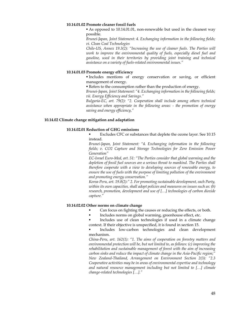#### **10.14.01.02 Promote cleaner fossil fuels**

 As opposed to 10.14.01.01, non-renewable but used in the cleanest way possible.

*Brunei-Japan, Joint Statement: 4. Exchanging information in the following fields; vi. Clean Coal Technologies* 

*Chile-US, Annex 19.3(2): "Increasing the use of cleaner fuels. The Parties will* work to improve the environmental quality of fuels, especially diesel fuel and *gasoline, used in their territories by providing joint training and technical assistance on a variety of fuels-related environmental issues."* 

#### **10.14.01.03 Promote energy efficiency**

 Includes mentions of energy conservation or saving, or efficient management of energy.

Refers to the consumption rather than the production of energy.

*Brunei-Japan, Joint Statement: "4. Exchanging information in the following fields; vii. Energy Efficiency and Savings."* 

*Bulgaria-EC, art. 79(2): "2. Cooperation shall include among others technical assistance when appropriate in the following areas: - the promotion of energy saving and energy efficiency,"* 

#### **10.14.02 Climate change mitigation and adaptation**

#### **10.14.02.01 Reduction of GHG emissions**

 Excludes CFC or substances that deplete the ozone layer. See 10.15 instead.

*Brunei-Japan, Joint Statement: "4. Exchanging information in the following fields; v. CO2 Capture and Storage Technologies for Zero Emission Power Generation"* 

*EC-Israel Euro-Med, art. 51: "The Parties consider that global warming and the*  depletion of fossil fuel sources are a serious threat to mankind. The Parties shall *therefore cooperate with a view to developing sources of renewable energy, to ensure the use of fuels with the purpose of limiting pollution of the environment and promoting energy conservation."* 

*Korea-Peru, art. 19.8(2):" 2. For promoting sustainable development, each Party, within its own capacities, shall adopt policies and measures on issues such as: (b) research, promotion, development and use of […] technologies of carbon dioxide capture."* 

#### **10.14.02.02 Other norms on climate change**

- Can focus on fighting the causes or reducing the effects, or both.
- Includes norms on global warming, greenhouse effect, etc.

Includes use of clean technologies if used in a climate change context. If their objective is unspecified, it is found in section 15.

 Includes low-carbon technologies and clean development mechanism.

*China-Peru, art. 162(1): "1. The aims of cooperation on forestry matters and environmental protection will be, but not limited to, as follows: (c) improving the rehabilitation and sustainable management of forest with the aim of increasing carbon sinks and reduce the impact of climate change in the Asia-Pacific region;" New Zealand-Thailand, Arrangement on Environment Section 2(3): "2.3 Cooperative activities may be in areas of environmental expertise and technology and natural resource management including but not limited to […] climate change-related technologies […]."*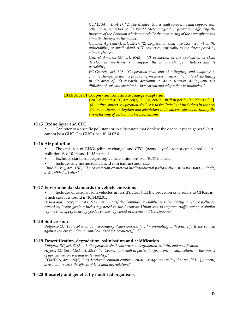*COMESA, art. 94(2): "2. The Member States shall co-operate and support each other in all activities of the World Meteorological Organization affecting the interests of the Common Market especially the monitoring of the atmosphere and climatic changes on the planet."* 

*Cotonou Agreement, art. 32(2): "2. Cooperation shall also take account of: the vulnerability of small island ACP countries, especially to the threat posed by climate change;"* 

*Central America-EC, art. 65(2): "(d) promotion of the application of clean development mechanisms to support the climate change initiatives and its variability."* 

*EC-Georgia, art. 308: "Cooperation shall aim at mitigating and adapting to climate change, as well as promoting measures at international level, including in the areas of: (d) research, development, demonstration, deployment and diffusion of safe and sustainable low carbon and adaptation technologies,"* 

### **10.14.02.02.01 Cooperation for climate change adaptation**

*Central America-EC, art. 50(3): 3. Cooperation shall in particular address:* […]  *(d) in this context, cooperation shall seek to facilitate joint initiatives in the area of climate change mitigation and adaptation to its adverse effects, including the strengthening of carbon market mechanisms.* 

### **10.15 Ozone layer and CFC**

 Can refer to a specific pollutant or to substances that deplete the ozone layer in general, but cannot be a GHG. For GHGs, see 10.14.02.01.

# **10.16 Air pollution**

 The emission of GHGs (climate change) and CFCs (ozone layer) are not considered as air pollution. See 10.14 and 10.15 instead.

- Excludes standards regarding vehicle emissions. See 10.17 instead.
- Includes any norms related acid rain (sulfur) and haze.

*Chile-Turkey, art. 37(8): "La cooperación en materia medioambiental podrá incluir, pero no estará limitada, a: d) calidad del aire;"* 

### **10.17 Environmental standards on vehicle emissions**

 Includes emissions from vehicles unless it's clear that the provision only refers to GHGs, in which case it is found in 10.14.02.01.

*Bosnia and Herzegovina-EC SAA, art. 11: "If the Community establishes rules aiming to reduce pollution caused by heavy goods vehicles registered in the European Union and to improve traffic safety, a similar regime shall apply to heavy goods vehicles registered in Bosnia and Herzegovina"* 

# **10.18 Soil erosion**

*Bulgaria-EC, Protocol 8 on Transboundary Watercourses: "[…] - promoting with joint efforts the combat against soil erosion due to transboundary watercourses,[…]"* 

# **10.19 Desertification, degradation, salinisation and acidification**

*Bulgaria-EC, art. 81(2): "2. Cooperation shall concern: soil degradation, salinity and acidification," Algeria-EC Euro-Med, art. 32(2): "2. Cooperation shall in particular focus on: — salinisation, — the impact of agriculture on soil and water quality,"* 

*COMESA, art. 124(1): "(a) develop a common environmental management policy that would […] prevent, arrest and reverse the effects of […] land degradation;"* 

# **10.20 Biosafety and genetically modified organisms**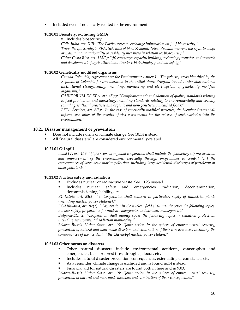Included even if not clearly related to the environment.

### **10.20.01 Biosafety, excluding GMOs**

### **Includes biosecurity.**

*Chile-India, art. XIII: "The Parties agree to exchange information on […] biosecurity," Trans Pacific Strategic EPA, Schedule of New Zealand: "New Zealand reserves the right to adopt or maintain any nationality or residency measures in relation to: biosecurity." China-Costa Rica, art. 123(2): "(h) encourage capacity building, technology transfer, and research and development of agricultural and livestock biotechnology and bio-safety;"* 

#### **10.20.02 Genetically modified organisms**

*Canada-Colombia, Agreement on the Environment Annex I: "The priority areas identified by the Republic of Colombia for consideration in the initial Work Program include, inter alia: national institutional strengthening, including: monitoring and alert system of genetically modified organisms;"* 

*CARIFORUM-EC EPA, art. 45(c): "Compliance with and adoption of quality standards relating to food production and marketing, including standards relating to environmentally and socially sound agricultural practices and organic and non-genetically modified foods;"* 

*EFTA Services, art. 6(3): "In the case of genetically modified varieties, the Member States shall inform each other of the results of risk assessments for the release of such varieties into the environment."* 

### **10.21 Disaster management or prevention**

- Does not include norms on climate change. See 10.14 instead.
- All "natural disasters" are considered environmentally-related.

#### **10.21.01 Oil spill**

*Lomé IV, art. 159: "[T]he scope of regional cooperation shall include the following: (d) preservation and improvement of the environment, especially through programmes to combat […] the consequences of large-scale marine pollution, including large accidental discharges of petroleum or other pollutants."* 

### **10.21.02 Nuclear safety and radiation**

- Excludes nuclear or radioactive waste. See 10.23 instead.
- Includes nuclear safety and emergencies, radiation, decontamination, decommissioning, liability, etc.

*EC-Latvia, art. 83(2): "2. Cooperation shall concern in particular: safety of industrial plants (including nuclear power stations),"* 

*EC-Lithuania, art. 82(2): "Cooperation in the nuclear field shall mainly cover the following topics: nuclear safety, preparation for nuclear emergencies and accident management;"*

*Bulgaria-EC: 2. "Cooperation shall mainly cover the following topics: - radiation protection, including environmental radiation monitoring,"* 

*Belarus-Russia Union State, art. 18: "Joint action in the sphere of environmental security, prevention of natural and man-made disasters and elimination of their consequences, including the consequences of the accident at the Chernobyl nuclear power station;"* 

### **10.21.03 Other norms on disasters**

- Other natural disasters include environmental accidents, catastrophes and emergencies, bush or forest fires, droughts, floods, etc.
- Includes natural disaster prevention, consequences, extenuating circumstance, etc.
- As a reminder, climate change is excluded and is found in.14 instead.
- Financial aid for natural disasters are found both in here and in 9.03.

*Belarus-Russia Union State, art. 18: "Joint action in the sphere of environmental security, prevention of natural and man-made disasters and elimination of their consequences."*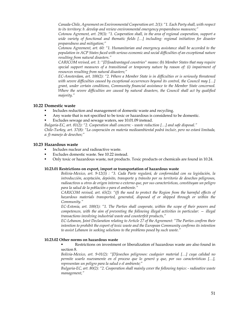*Canada-Chile, Agreement on Environmental Cooperation art. 2(1): "1. Each Party shall, with respect to its territory: b. develop and review environmental emergency preparedness measures;"* 

*Cotonou Agrement, art. 29(3): "1. Cooperation shall, in the area of regional cooperation, support a wide variety of functional and thematic fields […] including: regional initiatives for disaster preparedness and mitigation;"* 

*Cotonou Agreement, art. 60: "1. Humanitarian and emergency assistance shall be accorded to the population in ACP States faced with serious economic and social difficulties of an exceptional nature resulting from natural disasters."* 

*CARICOM revised, art. 1: "[D]isadvantaged countries" means: (b) Member States that may require special support measures of a transitional or temporary nature by reason of: (i) impairment of resources resulting from natural disasters;"* 

*EC-Amsterdam, art. 100(2): "2. Where a Member State is in difficulties or is seriously threatened with severe difficulties caused by exceptional occurrences beyond its control, the Council may […] grant, under certain conditions, Community financial assistance to the Member State concerned. Where the severe difficulties are caused by natural disasters, the Council shall act by qualified majority."* 

# **10.22 Domestic waste**

- Includes reduction and management of domestic waste and recycling.
- Any waste that is not specified to be toxic or hazardous is considered to be domestic.
- **Excludes sewage and sewage waters, see 10.01.09 instead.**

*Bulgaria-EC, art. 81(2): "2. Cooperation shall concern: - waste reduction […] and safe disposal."* 

*Chile-Turkey, art. 37(8): "La cooperación en materia medioambiental podrá incluir, pero no estará limitada, a: f) manejo de desechos;"* 

# **10.23 Hazardous waste**

- Includes nuclear and radioactive waste.
- Excludes domestic waste. See 10.22 instead.
- Only toxic or hazardous waste, not products. Toxic products or chemicals are found in 10.24.

### **10.23.01 Restrictions on export, import or transportation of hazardous waste**

*Bolivia-Mexico, art. 9-12(3) : "3. Cada Parte regulará, de conformidad con su legislación, la introducción, aceptación, depósito, transporte y tránsito por su territorio de desechos peligrosos, radioactivos u otros de origen interno o externo que, por sus características, constituyan un peligro para la salud de la población o para el ambiente."* 

*CARICOM revised, art. 65(2): "(f) the need to protect the Region from the harmful effects of hazardous materials transported, generated, disposed of or shipped through or within the Community."* 

*EC-Estonia, art. 100(1): "1. The Parties shall cooperate, within the scope of their powers and competences, with the aim of preventing the following illegal activities in particular: — illegal transactions involving industrial waste and counterfeit products,"* 

*EC-Lebanon, Joint Declaration relating to Article 27 of the Agreement: "The Parties confirm their intention to prohibit the export of toxic waste and the European Community confirms its intention to assist Lebanon in seeking solutions to the problems posed by such waste."* 

### **10.23.02 Other norms on hazardous waste**

 Restrictions on investment or liberalization of hazardous waste are also found in section 8.

*Bolivia-Mexico, art. 9-01(2): "[D]esechos peligrosos: cualquier material […] cuya calidad no permite usarlo nuevamente en el proceso que lo generó y que, por sus características […], representan un peligro para la salud o el ambiente;"* 

*Bulgaria-EC, art. 80(2): "2. Cooperation shall mainly cover the following topics: - radioative waste management,"*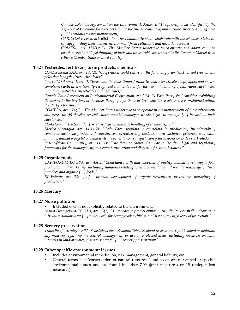*Canada-Colombia Agreement on the Environment, Annex I: "The priority areas identified by the Republic of Colombia for consideration in the initial Work Program include, inter alia: integrated […] hazardous wastes management;"* 

*CARICOM revised, art. 60(3): "3. The Community shall collaborate with the Member States in: (d) safeguarding their marine environment from pollutants and hazardous wastes."* 

*COMESA, art. 125(1): "1. The Member States undertake to co-operate and adopt common positions against illegal dumping of toxic and undesirable wastes within the Common Market from either a Member State or third country."* 

### **10.24 Pesticides, fertilizers, toxic products, chemicals**

*EC-Macedonia SAA, art. 103(2): "Cooperation could centre on the following priorities:[…] soil erosion and pollution by agricultural chemicals;"* 

*Israel PLO Annex II, art. II: "Israel and the Palestinian Authority shall respectively adopt, apply and ensure compliance with internationally-recognized standards […] for the use and handling of hazardous substances, including pesticides, insecticides and herbicides,"*

*Canada-Chile Agreement on Environmental Cooperation, art. 2(3): "3. Each Party shall consider prohibiting the export to the territory of the other Party of a pesticide or toxic substance whose use is prohibited within the Party's territory."* 

*COMESA, art. 124(1): "The Member States undertake to co-operate in the management of the environment and agree to: (b) develop special environmental management strategies to manage […] hazardous toxic substances;"* 

*EC-Estonia, art. 82(2): "[…] — classification and safe handling of chemicals,[…]"* 

*Mexico-Nicaragua, art. 14-14(2): "Cada Parte regulará y controlará la producción, introducción y comercialización de productos farmacéuticos, agrotóxicos y cualquier otra sustancia peligrosa a la salud humana, animal o vegetal o al ambiente, de acuerdo con su legislación y las disposiciones de este Tratado."* 

*East African Community, art. 113(2): "The Partner States shall harmonise their legal and regulatory framework for the management, movement, utilisation and disposal of toxic substances."* 

### **10.25 Organic foods**

*CARIFORUM-EC EPA, art. 45(c): "Compliance with and adoption of quality standards relating to food production and marketing, including standards relating to environmentally and socially sound agricultural practices and organic […] foods;"* 

*EC-Estonia, art. 78: "[…]— promote development of organic agriculture, processing, marketing of production,"* 

# **10.26 Mercury**

### **10.27 Noise pollution**

Included even if not explicitly related to the environment.

*Bosnia Herzegovina-EC SAA, art. 15(1): "1. In order to protect environment, the Parties shall endeavour to introduce standards on […] noise levels for heavy goods vehicles, which ensure a high level of protection."* 

### **10.28 Scenery preservation**

*Trans Pacific Strategic EPA, Schedule of New Zealand: "New Zealand reserves the right to adopt or maintain any measure regarding the control, management or use of: Protected areas, including resources on land, interests in land or water, that are set up for […] scenery preservation;"* 

### **10.29 Other specific environmental issues**

- Includes environmental remediation, risk management, general liability, etc.
- General terms like "conservation of natural resources" and so on are not aimed at specific environmental issues and are found in either 7.09 (joint measures) or 15 (independent measures).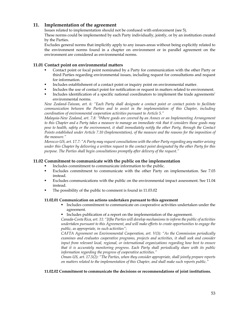# **11. Implementation of the agreement**

Issues related to implementation should not be confused with enforcement (see 5).

These norms could be implemented by each Party individually, jointly, or by an institution created by the Parties.

Excludes general norms that implicitly apply to any issues-areas without being explicitly related to the environment norms found in a chapter on environment or in parallel agreement on the environment are considered as environmental norms.

# **11.01 Contact point on environmental matters**

- Contact point or focal point nominated by a Party for communication with the other Party or third Parties regarding environmental issues, including request for consultations and request for information.
- Includes establishment of a contact point or inquiry point on environmental matter.
- Includes the use of contact point for notification or request in matters related to environment.
- Includes identification of a specific national coordinators to implement the trade agreements' environmental norms.

*New Zealand-Taiwan, art. 6: "Each Party shall designate a contact point or contact points to facilitate communication between the Parties and to assist in the implementation of this Chapter, including coordination of environmental cooperation activities pursuant to Article 5."* 

*Malaysia-New Zealand, art. 7.8: "Where goods are covered by an Annex or an Implementing Arrangement to this Chapter and a Party takes a measure to manage an immediate risk that it considers those goods may pose to health, safety or the environment, it shall immediately notify the other Party, through the Contact Points established under Article 7.10 (Implementation), of the measure and the reasons for the imposition of the measure."* 

*Morocco-US, art. 17.7: "A Party may request consultations with the other Party regarding any matter arising under this Chapter by delivering a written request to the contact point designated by the other Party for this purpose. The Parties shall begin consultations promptly after delivery of the request."* 

# **11.02 Commitment to communicate with the public on the implementation**

- Includes commitment to communicate information to the public.
- Excludes commitment to communicate with the other Party on implementation. See 7.03 instead.
- **Excludes communications with the public on the environmental impact assessment. See 11.04** instead.
- The possibility of the public to comment is found in 11.03.02

# **11.02.01 Communication on actions undertaken pursuant to this agreement**

- Includes commitment to communicate on cooperative activities undertaken under the agreement.
- Includes publication of a report on the implementation of the agreement.

*Canada-Costa Rica, art. 11: "[t]he Parties will develop mechanisms to inform the public of activities undertaken pursuant to this Agreement, and will make efforts to create opportunities to engage the public, as appropriate, in such activities";* 

*CAFTA Agreement on Environmental Cooperation, art. V(3): "As the Commission periodically examines and evaluates cooperative programs, projects and activities, it shall seek and consider input from relevant local, regional, or international organizations regarding how best to ensure that it is accurately monitoring progress. Each Party shall periodically share with its public information regarding the progress of cooperative activities."* 

*Oman-US, art. 17.5(2): "The Parties, when they consider appropriate, shall jointly prepare reports on matters related to the implementation of this Chapter, and shall make such reports public."* 

# **11.02.02 Commitment to communicate the decisions or recommendations of joint institutions.**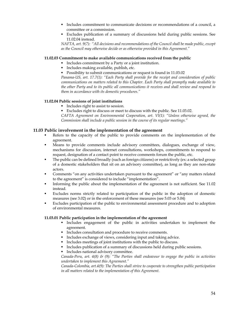- Includes commitment to communicate decisions or recommendations of a council, a committee or a commission.
- Excludes publication of a summary of discussions held during public sessions. See 11.02.04 instead.

*NAFTA, art. 9(7): "All decisions and recommendations of the Council shall be made public, except as the Council may otherwise decide or as otherwise provided in this Agreement."* 

### **11.02.03 Commitment to make available communications received from the public**

- Includes commitment by a Party or a joint institution.
- Includes making available, publish, etc.
- **Possibility to submit communications or request is found in 11.03.02**

*Panama-US, art. 17.7(1): "Each Party shall provide for the receipt and consideration of public communications on matters related to this Chapter. Each Party shall promptly make available to the other Party and to its public all communications it receives and shall review and respond to them in accordance with its domestic procedures."* 

### **11.02.04 Public sessions of joint institutions**

- Includes right to assist to session.
- Excludes right to discuss or meet to discuss with the public. See 11.03.02.

*CAFTA Agreement on Environmental Cooperation, art. VI(1): "Unless otherwise agreed, the Commission shall include a public session in the course of its regular meetings."* 

### **11.03 Public involvement in the implementation of the agreement**

- Refers to the capacity of the public to provide comments on the implementation of the agreement.
- Means to provide comments include advisory committees, dialogues, exchange of view, mechanisms for discussion, internet consultations, workshops, commitments to respond to request, designation of a contact point to receive comments forum the public, etc.
- The public can be defined broadly (such as foreign citizens) or restrictively (ex: a selected group of a domestic stakeholders that sit on an advisory committee), as long as they are non-state actors.
- Comments "on any activities undertaken pursuant to the agreement" or "any matters related to the agreement" is considered to include "implementation".
- Informing the public about the implementation of the agreement is not sufficient. See 11.02 instead.
- Excludes norms strictly related to participation of the public in the adoption of domestic measures (see 3.02) or in the enforcement of these measures (see 5.03 or 5.04)
- Excludes participation of the public to environmental assessment procedure and to adoption of environmental measures.

### **11.03.01 Public participation in the implementation of the agreement**

- Includes engagement of the public in activities undertaken to implement the agreement.
- **Includes consultation and procedure to receive comments.**
- Includes exchange of views, considering input and taking advice.
- Includes meetings of joint institutions with the public to discuss.
- Includes publication of a summary of discussions held during public sessions.
- **Includes national advisory committee.**

*Canada-Peru, art. 4(8) & (9): "The Parties shall endeavour to engage the public in activities undertaken to implement this Agreement."* 

*Canada-Colombia, art.4(9): The Parties shall strive to cooperate to strengthen public participation in all matters related to the implementation of this Agreement.*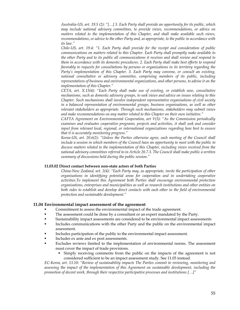*Australia-US, art. 19.5 (2): "[…] 3. Each Party shall provide an opportunity for its public, which may include national advisory committees, to provide views, recommendations, or advice on matters related to the implementation of this Chapter, and shall make available such views, recommendations, or advice to the other Party and, as appropriate, to the public in accordance with its law."* 

*Chile-US, art. 19.4: "1. Each Party shall provide for the receipt and consideration of public communications on matters related to this Chapter. Each Party shall promptly make available to the other Party and to its public all communications it receives and shall review and respond to them in accordance with its domestic procedures. 2. Each Party shall make best efforts to respond favorably to requests for consultations by persons or organizations in its territory regarding the Party's implementation of this Chapter. 3. Each Party may convene, or consult an existing, national consultative or advisory committee, comprising members of its public, including representatives of business and environmental organizations, and other persons, to advise it on the implementation of this Chapter."* 

*CETA, art. X.13(4): "Each Party shall make use of existing, or establish new, consultative mechanisms, such as domestic advisory groups, to seek views and advice on issues relating to this Chapter. Such mechanisms shall involve independent representative organisations of civil society in a balanced representation of environmental groups, business organisations, as well as other relevant stakeholders as appropriate. Through such mechanisms, stakeholders may submit views and make recommendations on any matter related to this Chapter on their own initiative."* 

*CAFTA Agreement on Environmental Cooperation, art V(3): "As the Commission periodically examines and evaluates cooperative programs, projects and activities, it shall seek and consider input from relevant local, regional, or international organizations regarding how best to ensure that it is accurately monitoring progress."* 

*Korea-US, art. 20.6(2): "Unless the Parties otherwise agree, each meeting of the Council shall include a session in which members of the Council have an opportunity to meet with the public to discuss matters related to the implementation of this Chapter, including views received from the national advisory committees referred to in Article 20.7.3. The Council shall make public a written summary of discussions held during the public session."* 

#### **11.03.02 Direct contact between non-state actors of both Parties**

*China-New Zealand, art. 2(4): "Each Party may, as appropriate, invite the participation of other organisations in identifying potential areas for cooperation and in undertaking cooperative activities.To implement this Agreement both Parties shall encourage environmental protection organisations, enterprises and municipalities as well as research institutions and other entities on*  both sides to establish and develop direct contacts with each other in the field of environmental *protection and sustainable development."* 

### **11.04 Environmental impact assessment of the agreement**

- Commitment to assess the environmental impact of the trade agreement.
- The assessment could be done by a consultant or an expert mandated by the Party.
- Sustainability impact assessments are considered to be environmental impact assessments
- Includes communications with the other Party and the public on the environmental impact assessment.
- Includes participation of the public to the environmental impact assessment.
- Includes ex ante and ex post assessments.
- Excludes reviews limited to the implementation of environmental norms. The assessment must cover the impact of trade provisions.
	- Simply receiving comments from the public on the impacts of the agreement is not considered sufficient to be an impact assessment study. See 11.03 instead.

*EC-Korea, art. 13.10: "Review of sustainability impacts The Parties commit to reviewing, monitoring and assessing the impact of the implementation of this Agreement on sustainable development, including the promotion of decent work, through their respective participative processes and institutions […]"*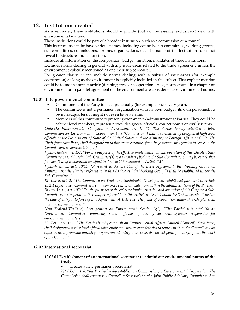# **12. Institutions created**

As a reminder, these institutions should explicitly (but not necessarily exclusively) deal with environmental matters.

These institutions could be part of a broader institution, such as a commission or a council.

This institutions can be have various names, including councils, sub-committees, working-groups, sub-committees, commissions, forums, organizations, etc. The name of the institutions does not reveal its structure and its function.

Includes all information on the composition, budget, function, mandates of these institutions.

Excludes norms dealing in general with any issue-areas related to the trade agreement, unless the environment explicitly mentioned as one their subject-matter.

For greater clarity, it can include norms dealing with a subset of issue-areas (for example cooperation) as long as the environment is explicitly included in this subset. This explicit mention could be found in another article (defining areas of cooperation). Also, norms found in a chapter on environment or in parallel agreement on the environment are considered as environmental norms.

### **12.01 Intergovernmental committee**

- Commitment of the Party to meet punctually (for example once every year).
- The committee is not a permanent organization with its own budget, its own personnel, its own headquarters. It might not even have a name.
- Members of this committee represent governments/administrations/Parties. They could be cabinet level members, representatives, designees, officials, contact points or civil servants.

*Chile-US Environmental Co-operation Agreement, art. II: "1. The Parties hereby establish a Joint Commission for Environmental Cooperation (the "Commission") that is co-chaired by designated high level officials of the Department of State of the United States and the Ministry of Foreign Affairs of Chile. The Chair from each Party shall designate up to five representatives from its government agencies to serve on the Commission, as appropriate. […]* 

*Japan-Thailan, art. 157: "For the purposes of the effective implementation and operation of this Chapter, Sub-Committee(s) and Special Sub-Committee(s) as a subsidiary body to the Sub-Committee(s) may be established for each field of cooperation specified in Article 153 pursuant to Article 13"* 

*Japan-Vietnam, art. 30(1): "Pursuant to Article 114 of the Basic Agreement, the Working Group on Environment (hereinafter referred to in this Article as "the Working Group") shall be established under the Sub-Committee."* 

*EC-Korea, art. 2: "The Committee on Trade and Sustainable Development established pursuant to Article 15.2.1 (Specialised Committees) shall comprise senior officials from within the administrations of the Parties." Brunei-Japan, art. 105: "For the purposes of the effective implementation and operation of this Chapter, a Sub-Committee on Cooperation (hereinafter referred to in this Article as "Sub-Committee") shall be established on the date of entry into force of this Agreement. Article 102. The fields of cooperation under this Chapter shall include: (h) environment"* 

*New Zealand-Thailand, Arrangement on Environment, Section 3(1): "The Participants establish an Environment Committee comprising senior officials of their government agencies responsible for environmental matters."* 

*US-Peru, art. 18.6: "The Parties hereby establish an Environmental Affairs Council (Council). Each Party shall designate a senior level official with environmental responsibilities to represent it on the Council and an office in its appropriate ministry or government entity to serve as its contact point for carrying out the work of the Council."* 

# **12.02 International secretariat**

## **12.02.01 Establishment of an international secretariat to administer environmental norms of the treaty**

Creates a new permanent secretariat.

*NAAEC, art. 8: "the Parties hereby establish the Commission for Environmental Cooperation. The Commission shall comprise a Council, a Secretariat and a Joint Public Advisory Committee. Art.*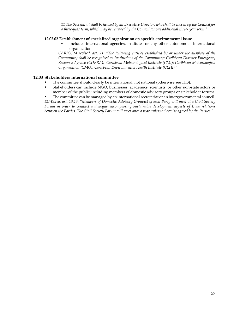*11 The Secretariat shall be headed by an Executive Director, who shall be chosen by the Council for a three-year term, which may be renewed by the Council for one additional three- year term."* 

### **12.02.02 Establishment of specialized organization on specific environmental issue**

 Includes international agencies, institutes or any other autonomous international organization.

*CARICOM revised, art. 21: "The following entities established by or under the auspices of the Community shall be recognised as Institutions of the Community: Caribbean Disaster Emergency Response Agency (CDERA); Caribbean Meteorological Institute (CMI); Caribbean Meteorological Organisation (CMO); Caribbean Environmental Health Institute (CEHI);"* 

# **12.03 Stakeholders international committee**

- The committee should clearly be international, not national (otherwise see 11.3).
- Stakeholders can include NGO, businesses, academics, scientists, or other non-state actors or member of the public, including members of domestic advisory groups or stakeholder forums.

 The committee can be managed by an international secretariat or an intergovernmental council. *EC-Korea, art. 13.13: "Members of Domestic Advisory Group(s) of each Party will meet at a Civil Society Forum in order to conduct a dialogue encompassing sustainable development aspects of trade relations between the Parties. The Civil Society Forum will meet once a year unless otherwise agreed by the Parties."*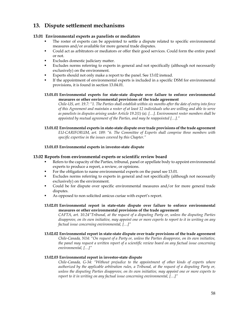# **13. Dispute settlement mechanisms**

# **13.01 Environmental experts as panelists or mediators**

- The roster of experts can be appointed to settle a dispute related to specific environmental measures and/or available for more general trade disputes.
- Could act as arbitrators or mediators or offer their good services. Could form the entire panel or not.
- Excludes domestic judiciary matter.
- Excludes norms referring to experts in general and not specifically (although not necessarily exclusively) on the environment.
- Experts should not only make a report to the panel. See 13.02 instead.
- If the appointment of environmental experts is included in a specific DSM for environmental provisions, it is found in section 13.04.01.

## **13.01.01 Environmental experts for state-state dispute over failure to enforce environmental measures or other environmental provisions of the trade agreement**

*Chile-US, art. 19.7: "1. The Parties shall establish within six months after the date of entry into force of this Agreement and maintain a roster of at least 12 individuals who are willing and able to serve as panelists in disputes arising under Article 19.2(1) (a). […]. Environment roster members shall be appointed by mutual agreement of the Parties, and may be reappointed […]."* 

#### **13.01.02 Environmental experts in state-state dispute over trade provisions of the trade agreement**  *EU-CARIFORUM, art. 189: "6. The Committee of Experts shall comprise three members with*

*specific expertise in the issues covered by this Chapter."* 

# **13.01.03 Environmental experts in investor-state dispute**

# **13.02 Reports from environmental experts or scientific review board**

- Refers to the capacity of the Parties, tribunal, panel or appellate body to appoint environmental experts to produce a report, a review, or opinions.
- For the obligation to name environmental experts on the panel see 13.01.
- Excludes norms referring to experts in general and not specifically (although not necessarily exclusively) on the environment.
- Could be for dispute over specific environmental measures and/or for more general trade disputes.
- As opposed to non solicited amicus curiae with expert's report.

# **13.02.01 Environmental report in state-state dispute over failure to enforce environmental measures or other environmental provisions of the trade agreement**

*CAFTA, art. 10.24"Tribunal, at the request of a disputing Party or, unless the disputing Parties disapprove, on its own initiative, may appoint one or more experts to report to it in writing on any factual issue concerning environmental, […]"* 

**13.02.02 Environmental report in state-state dispute over trade provisions of the trade agreement**  *Chile-Canada, N14: "On request of a Party or, unless the Parties disapprove, on its own initiative, the panel may request a written report of a scientific review board on any factual issue concerning environmental, […]"* 

# **13.02.03 Environmental report in investor-state dispute**

*Chile-Canada, G-34: "Without prejudice to the appointment of other kinds of experts where authorized by the applicable arbitration rules, a Tribunal, at the request of a disputing Party or, unless the disputing Parties disapprove, on its own initiative, may appoint one or more experts to report to it in writing on any factual issue concerning environmental, […]"*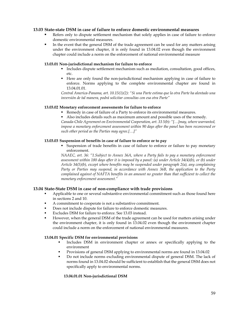## **13.03 State-state DSM in case of failure to enforce domestic environmental measures**

- Refers only to dispute settlement mechanism that solely applies in case of failure to enforce domestic environmental measures.
- In the event that the general DSM of the trade agreement can be used for any matters arising under the environment chapter, it is only found in 13.04.02 even though the environment chapter could include a norm on the enforcement of national environmental measure

### **13.03.01 Non-jurisdictional mechanism for failure to enforce**

- Includes dispute settlement mechanism such as mediation, consultation, good offices, etc.
- Here are only found the non-jurisdictional mechanism applying in case of failure to enforce. Norms applying to the complete environmental chapter are found in 13.04.01.01.

*Central America-Panama, art. 10.15(1)(2): "Si una Parte estima que la otra Parte ha alentado una inversión de tal manera, podrá solicitar consultas con esa otra Parte"* 

### **13.03.02 Monetary enforcement assessments for failure to enforce**

- Remedy in case of failure of a Party to enforce its environmental measures.
- Also includes details such as maximum amount and possible uses of the remedy.

*Canada-Chile Agreement on Environmental Cooperation, art. 33 5(b): "[…]may, where warranted, impose a monetary enforcement assessment within 90 days after the panel has been reconvened or such other period as the Parties may agree.[…]"* 

### **13.03.03 Suspension of benefits in case of failure to enforce or to pay**

 Suspension of trade benefits in case of failure to enforce or failure to pay monetary enforcement.

*NAAEC, art. 36: "1.Subject to Annex 36A, where a Party fails to pay a monetary enforcement assessment within 180 days after it is imposed by a panel: (a) under Article 34(4)(b), or (b) under Article 34(5)(b), except where benefits may be suspended under paragraph 2(a), any complaining Party or Parties may suspend, in accordance with Annex 36B, the application to the Party complained against of NAFTA benefits in an amount no greater than that sufficient to collect the monetary enforcement assessment."* 

# **13.04 State-State DSM in case of non-compliance with trade provisions**

- Applicable to one or several substantive environmental commitment such as those found here in sections 2 and 10.
- A commitment to cooperate is not a substantive commitment.
- Does not include dispute for failure to enforce domestic measures.
- Excludes DSM for failure to enforce. See 13.03 instead.
- However, when the general DSM of the trade agreement can be used for matters arising under the environment chapter, it is only found in 13.04.02 even though the environment chapter could include a norm on the enforcement of national environmental measures.

### **13.04.01 Specific DSM for environmental provisions**

- Includes DSM in environment chapter or annex or specifically applying to the environment
- **Provisions of general DSM applying to environmental norms are found in 13.04.02**
- Do not include norms excluding environmental dispute of general DSM. The lack of norms found in 13.04.02 should be sufficient to establish that the general DSM does not specifically apply to environmental norms.

### **13.04.01.01 Non-jurisdictional DSM**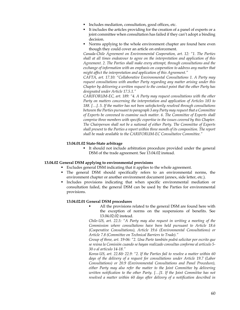- Includes mediation, consultation, good offices, etc.
- It includes the articles providing for the creation of a panel of experts or a joint committee when consultation has failed if they can't adopt a binding decision.
- Norms applying to the whole environment chapter are found here even though they could cover an article on enforcement.

*Canada-Chile Agreement on Environmental Cooperation, art. 12: "1. The Parties shall at all times endeavour to agree on the interpretation and application of this Agreement. 2. The Parties shall make every attempt, through consultations and the exchange of information with an emphasis on cooperation to address any matter that might affect the interpretation and application of this Agreement."* 

*CAFTA, art. 17.10: "Collaborative Environmental Consultations 1. A Party may request consultations with another Party regarding any matter arising under this Chapter by delivering a written request to the contact point that the other Party has designated under Article 17.5.1."* 

*CARIFORUM-EC, art. 189: "4. A Party may request consultations with the other Party on matters concerning the interpretation and application of Articles 183 to 188. […]. 5. If the matter has not been satisfactorily resolved through consultations between the Parties pursuant to paragraph 3 any Party may request that a Committee of Experts be convened to examine such matter. 6. The Committee of Experts shall comprise three members with specific expertise in the issues covered by this Chapter. The Chairperson shall not be a national of either Party. The Committee of Experts shall present to the Parties a report within three month of its composition. The report shall be made available to the CARIFORUM-EC Consultative Committee."* 

### **13.04.01.02 State-State arbitrage**

 It should not include arbitration procedure provided under the general DSM of the trade agreement. See 13.04.02 instead.

### **13.04.02 General DSM applying to environmental provisions**

- Excludes general DSM indicating that it applies to the whole agreement.
- The general DSM should specifically refers to an environmental norms, the environment chapter or another environment document (annex, side letter, etc.).
- Includes provisions indicating that when specific environmental mediation or consultation failed, the general DSM can be used by the Parties for environmental provisions.

### **13.04.02.01 General DSM procedures**

 All the provisions related to the general DSM are found here with the exception of norms on the suspensions of benefits. See 13.04.02.02 instead.

*Chile-US, art. 22.5: "A Party may also request in writing a meeting of the Commission where consultations have been held pursuant to Article 18.6 (Cooperative Consultations), Article 19.6 (Environmental Consultations) or Article 7.8 (Committee on Technical Barriers to Trade)."* 

*Group of three, art. 19-06: "2. Una Parte también podrá solicitar por escrito que se reúna la Comisión cuando se hayan realizado consultas conforme al artículo 5- 30 o al artículo 14-18."* 

*Korea-US, art. 22.8& 22.9: "2. If the Parties fail to resolve a matter within 60 days of the delivery of a request for consultations under Article 19.7 (Labor Consultations) or 20.9 (Environmental Consultations and Panel Procedure), either Party may also refer the matter to the Joint Committee by delivering written notification to the other Party. […]1. If the Joint Committee has not resolved a matter within 60 days after delivery of a notification described in*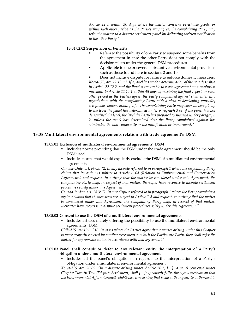*Article 22.8, within 30 days where the matter concerns perishable goods, or within such other period as the Parties may agree, the complaining Party may refer the matter to a dispute settlement panel by delivering written notification to the other Party."* 

#### **13.04.02.02 Suspension of benefits**

- Refers to the possibility of one Party to suspend some benefits from the agreement in case the other Party does not comply with the decision taken under the general DSM procedures.
- Applicable to one or several substantive environmental provisions such as those found here in sections 2 and 10.

 Does not include dispute for failure to enforce domestic measures. *Korea-US, art. 22.13: "1. If a panel has made a determination of the type described in Article 22.12.2, and the Parties are unable to reach agreement on a resolution pursuant to Article 22.12.1 within 45 days of receiving the final report, or such other period as the Parties agree, the Party complained against shall enter into negotiations with the complaining Party with a view to developing mutually acceptable compensation. […]4. The complaining Party may suspend benefits up to the level the panel has determined under paragraph 3 or, if the panel has not determined the level, the level the Party has proposed to suspend under paragraph 2, unless the panel has determined that the Party complained against has eliminated the non-conformity or the nullification or impairment."* 

### **13.05 Multilateral environmental agreements relation with trade agreement's DSM**

#### **13.05.01 Exclusion of multilateral environmental agreements' DSM**

- Includes norms providing that the DSM under the trade agreement should be the only DSM used.
- Includes norms that would explicitly exclude the DSM of a multilateral environmental agreements.

*Canada-Chile, art. N-05: "2. In any dispute referred to in paragraph 1 where the responding Party claims that its action is subject to Article A-04 (Relation to Environmental and Conservation Agreements) and requests in writing that the matter be considered under this Agreement, the complaining Party may, in respect of that matter, thereafter have recourse to dispute settlement procedures solely under this Agreement."* 

*Canada-Jordan, art. 14.3: "2. In any dispute referred to in paragraph 1 where the Party complained against claims that its measures are subject to Article 1-5 and requests in writing that the matter be considered under this Agreement, the complaining Party may, in respect of that matter, thereafter have recourse to dispute settlement procedures solely under this Agreement."* 

#### **13.05.02 Consent to use the DSM of a multilateral environmental agreements**

 Includes articles merely offering the possibility to use the multilateral environmental agreements' DSM.

*Chile-US, art 19.6: "10. In cases where the Parties agree that a matter arising under this Chapter is more properly covered by another agreement to which the Parties are Party, they shall refer the matter for appropriate action in accordance with that agreement."* 

#### **13.05.03 Panel shall consult or defer to any relevant entity the interpretation of a Party's obligation under a multilateral environmental agreement**

 Includes all the panel's obligations in regards to the interpretation of a Party's obligation under a multilateral environmental agreement.

*Korea-US, art. 20.09: "In a dispute arising under Article 20.2, […] a panel convened under Chapter Twenty-Two (Dispute Settlement) shall […]: a) consult fully, through a mechanism that the Environmental Affairs Council establishes, concerning that issue with any entity authorized to*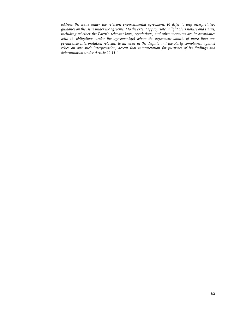*address the issue under the relevant environmental agreement; b) defer to any interpretative guidance on the issue under the agreement to the extent appropriate in light of its nature and status, including whether the Party's relevant laws, regulations, and other measures are in accordance with its obligations under the agreement;(c) where the agreement admits of more than one permissible interpretation relevant to an issue in the dispute and the Party complained against relies on one such interpretation, accept that interpretation for purposes of its findings and determination under Article 22.11."*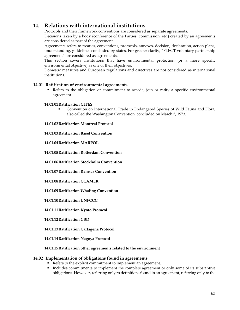# **14. Relations with international institutions**

Protocols and their framework conventions are considered as separate agreements.

Decisions taken by a body (conference of the Parties, commission, etc.) created by an agreements are considered as part of the agreement.

Agreements refers to treaties, conventions, protocols, annexes, decision, declaration, action plans, understanding, guidelines concluded by states. For greater clarity, "FLEGT voluntary partnership agreement" are considered as agreements.

This section covers institutions that have environmental protection (or a more specific environmental objective) as one of their objectives.

Domestic measures and European regulations and directives are not considered as international institutions.

# **14.01 Ratification of environmental agreements**

 Refers to the obligation or commitment to accede, join or ratify a specific environmental agreement.

### **14.01.01Ratification CITES**

**Convention on International Trade in Endangered Species of Wild Fauna and Flora,** also called the Washington Convention, concluded on March 3, 1973.

**14.01.02Ratification Montreal Protocol** 

**14.01.03Ratification Basel Convention** 

**14.01.04Ratification MARPOL** 

**14.01.05Ratification Rotterdam Convention** 

**14.01.06Ratification Stockholm Convention** 

**14.01.07Ratification Ramsar Convention** 

### **14.01.08Ratification CCAMLR**

**14.01.09Ratification Whaling Convention** 

**14.01.10Ratification UNFCCC** 

**14.01.11Ratification Kyoto Protocol** 

**14.01.12Ratification CBD** 

**14.01.13Ratification Cartagena Protocol** 

**14.01.14Ratification Nagoya Protocol** 

### **14.01.15Ratification other agreements related to the environment**

### **14.02 Implementation of obligations found in agreements**

- Refers to the explicit commitment to implement an agreement.
- Includes commitments to implement the complete agreement or only some of its substantive obligations. However, referring only to definitions found in an agreement, referring only to the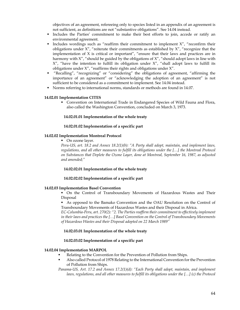objectives of an agreement, refereeing only to species listed in an appendix of an agreement is not sufficient, as definitions are not "substantive obligations". See 14.04 instead.

- Includes the Parties' commitment to make their best efforts to join, accede or ratify an environmental agreement.
- Includes wordings such as "reaffirm their commitment to implement  $X''$ , "reconfirm their obligations under  $X''$ , "reiterate their commitments as established by  $X''$ , "recognize that the implementation of X is critical or important", "ensure that their laws and practices are in harmony with  $X''$ , "should be guided by the obligations of  $X''$ , "should adopt laws in line with  $X''$ , "have the intention to fulfill its obligation under  $X''$ , "shall adopt laws to fulfill its obligations under X", "reaffirms their rights and obligations under X".
- "Recalling", "recognizing" or "considering" the obligations of agreement, "affirming the importance of an agreement" or "acknowledging the adoption of an agreement" is not sufficient to be considered as a commitment to implement. See 14.04 instead.
- Norms referring to international norms, standards or methods are found in 14.07.

### **14.02.01 Implementation CITES**

 Convention on International Trade in Endangered Species of Wild Fauna and Flora, also called the Washington Convention, concluded on March 3, 1973.

### **14.02.01.01 Implementation of the whole treaty**

### **14.02.01.02 Implementation of a specific part**

### **14.02.02 Implementation Montreal Protocol**

• On ozone layer.

*Peru-US, art. 18.2 and Annex 18.2(1)(b): "A Party shall adopt, maintain, and implement laws, regulations, and all other measures to fulfill its obligations under the […] the Montreal Protocol on Substances that Deplete the Ozone Layer, done at Montreal, September 16, 1987, as adjusted and amended;"* 

### **14.02.02.01 Implementation of the whole treaty**

### **14.02.02.02 Implementation of a specific part**

### **14.02.03 Implementation Basel Convention**

 On the Control of Transboundary Movements of Hazardous Wastes and Their Disposal

 As opposed to the Bamako Convention and the OAU Resolution on the Control of Transboundary Movements of Hazardous Wastes and their Disposal in Africa.

*EC-Columbia-Peru, art. 270(2): "2. The Parties reaffirm their commitment to effectively implement in their laws and practices the […] Basel Convention on the Control of Transboundary Movements of Hazardous Wastes and their Disposal adopted on 22 March 1989"* 

### **14.02.03.01 Implementation of the whole treaty**

### **14.02.03.02 Implementation of a specific part**

### **14.02.04 Implementation MARPOL**

- Relating to the Convention for the Prevention of Pollution from Ships.
- Also called Protocol of 1978 Relating to the International Convention for the Prevention of Pollution from Ships.

*Panama-US, Art. 17.2 and Annex 17.2(1)(d): "Each Party shall adopt, maintain, and implement laws, regulations, and all other measures to fulfill its obligations under the […] (c) the Protocol*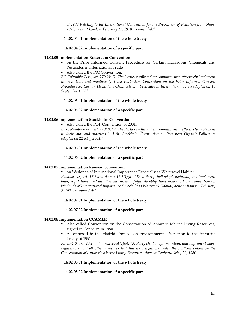*of 1978 Relating to the International Convention for the Prevention of Pollution from Ships, 1973, done at London, February 17, 1978, as amended;"* 

#### **14.02.04.01 Implementation of the whole treaty**

#### **14.02.04.02 Implementation of a specific part**

#### **14.02.05 Implementation Rotterdam Convention**

- on the Prior Informed Consent Procedure for Certain Hazardous Chemicals and Pesticides in International Trade
- Also called the PIC Convention.

*EC-Columbia-Peru, art. 270(2): "2. The Parties reaffirm their commitment to effectively implement in their laws and practices […] the Rotterdam Convention on the Prior Informed Consent Procedure for Certain Hazardous Chemicals and Pesticides in International Trade adopted on 10 September 1998"* 

#### **14.02.05.01 Implementation of the whole treaty**

#### **14.02.05.02 Implementation of a specific part**

### **14.02.06 Implementation Stockholm Convention**

Also called the POP Convention of 2001.

*EC-Columbia-Peru, art. 270(2): "2. The Parties reaffirm their commitment to effectively implement in their laws and practices […] the Stockholm Convention on Persistent Organic Pollutants adopted on 22 May 2001,"* 

#### **14.02.06.01 Implementation of the whole treaty**

#### **14.02.06.02 Implementation of a specific part**

### **14.02.07 Implementation Ramsar Convention**

 on Wetlands of International Importance Especially as Waterfowl Habitat. *Panama-US, art. 17.2 and Annex 17.2(1)(d): "Each Party shall adopt, maintain, and implement laws, regulations, and all other measures to fulfill its obligations under[…] the Convention on Wetlands of International Importance Especially as Waterfowl Habitat, done at Ramsar, February 2, 1971, as amended;"* 

### **14.02.07.01 Implementation of the whole treaty**

#### **14.02.07.02 Implementation of a specific part**

### **14.02.08 Implementation CCAMLR**

- Also called Convention on the Conservation of Antarctic Marine Living Resources, signed in Canberra in 1980.
- As opposed to the Madrid Protocol on Environmental Protection to the Antarctic Treaty of 1991.

*Korea-US, art. 20.2 and annex 20-A(1)(e): "A Party shall adopt, maintain, and implement laws, regulations, and all other measures to fulfill its obligations under the […]Convention on the Conservation of Antarctic Marine Living Resources, done at Canberra, May 20, 1980;"* 

#### **14.02.08.01 Implementation of the whole treaty**

### **14.02.08.02 Implementation of a specific part**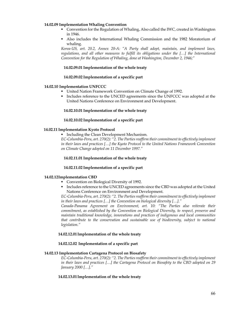#### **14.02.09 Implementation Whaling Convention**

- Convention for the Regulation of Whaling, Also called the IWC, created in Washington in 1946.
- Also includes the International Whaling Commission and the 1982 Moratorium of whaling.

*Korea-US, art. 20.2, Annex 20-A: "A Party shall adopt, maintain, and implement laws, regulations, and all other measures to fulfill its obligations under the […] the International Convention for the Regulation of Whaling, done at Washington, December 2, 1946;"* 

#### **14.02.09.01 Implementation of the whole treaty**

#### **14.02.09.02 Implementation of a specific part**

#### **14.02.10 Implementation UNFCCC**

- United Nation Framework Convention on Climate Change of 1992.
- **Includes reference to the UNCED agreements since the UNFCCC was adopted at the** United Nations Conference on Environment and Development.

#### **14.02.10.01 Implementation of the whole treaty**

#### **14.02.10.02 Implementation of a specific part**

### **14.02.11 Implementation Kyoto Protocol**

**Including the Clean Development Mechanism.** 

*EC-Columbia-Peru, art. 270(2): "2. The Parties reaffirm their commitment to effectively implement in their laws and practices […] the Kyoto Protocol to the United Nations Framework Convention on Climate Change adopted on 11 December 1997."* 

### **14.02.11.01 Implementation of the whole treaty**

#### **14.02.11.02 Implementation of a specific part**

#### **14.02.12Implementation CBD**

- **Convention on Biological Diversity of 1992.**
- Includes reference to the UNCED agreements since the CBD was adopted at the United Nations Conference on Environment and Development.

*EC-Columbia-Peru, art. 270(2): "2. The Parties reaffirm their commitment to effectively implement in their laws and practices […] the Convention on biological diversity […]."* 

*Canada-Panama Agreement on Environment, art. 10: "The Parties also reiterate their commitment, as established by the Convention on Biological Diversity, to respect, preserve and maintain traditional knowledge, innovations and practices of indigenous and local communities that contribute to the conservation and sustainable use of biodiversity, subject to national legislation."* 

#### **14.02.12.01Implementation of the whole treaty**

### **14.02.12.02 Implementation of a specific part**

#### **14.02.13 Implementation Cartagena Protocol on Biosafety**

*EC-Columbia-Peru, art. 270(2): "2. The Parties reaffirm their commitment to effectively implement in their laws and practices […] the Cartagena Protocol on Biosafety to the CBD adopted on 29 January 2000 […]."* 

### **14.02.13.01Implementation of the whole treaty**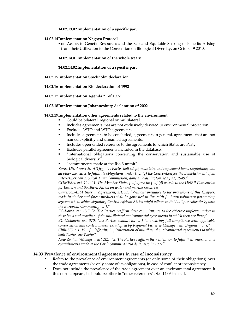## **14.02.13.02Implementation of a specific part**

### **14.02.14Implementation Nagoya Protocol**

 on Access to Genetic Resources and the Fair and Equitable Sharing of Benefits Arising from their Utilization to the Convention on Biological Diversity, on October 9 2010.

#### **14.02.14.01Implementation of the whole treaty**

**14.02.14.02Implementation of a specific part** 

**14.02.15Implementation Stockholm declaration** 

**14.02.16Implementation Rio declaration of 1992** 

#### **14.02.17Implementation Agenda 21 of 1992**

### **14.02.18Implementation Johannesburg declaration of 2002**

#### **14.02.19Implementation other agreements related to the environment**

- Could be bilateral, regional or multilateral.
- Includes agreements that are not exclusively devoted to environmental protection.
- **Excludes WTO and WTO agreements.**
- Includes agreements to be concluded, agreements in general, agreements that are not named explicitly and unnamed agreements.
- Includes open-ended reference to the agreements to which States are Party.
- Excludes parallel agreements included in the database.
- "international obligations concerning the conservation and sustainable use of biological diversity".
- "commitments made at the Rio Summit".

*Korea-US, Annex 20-A(1)(g): "A Party shall adopt, maintain, and implement laws, regulations, and all other measures to fulfill its obligations under […] (g) the Convention for the Establishment of an Inter-American Tropical Tuna Commission, done at Washington, May 31, 1949."* 

*COMESA, art. 124: "1. The Member States […] agree to: […] (d) accede to the UNEP Convention for Eastern and Southern Africa on water and marine resources"* 

*Cameroon-EPA Interim Agreement, art. 53: "Without prejudice to the provisions of this Chapter, trade in timber and forest products shall be governed in line with […] any voluntary partnership agreements to which signatory Central African States might adhere individually or collectively with the European Community […]."* 

*EC-Korea, art. 13.5 "2. The Parties reaffirm their commitments to the effective implementation in their laws and practices of the multilateral environmental agreements to which they are Party"* 

*EC-Moldavia, art. 370: "the Parties commit to: […] (c) ensuring full compliance with applicable conservation and control measures, adopted by Regional Fisheries Management Organisations;"* 

*Chili-US, art. 19: "[…]effective implementation of multilateral environmental agreements to which both Parties are Party;"* 

*New Zealand-Malaysia, art 2(2): "2. The Parties reaffirm their intention to fulfil their international commitments made at the Earth Summit at Rio de Janeiro in 1992"* 

### **14.03 Prevalence of environmental agreements in case of inconsistency**

- Refers to the prevalence of environment agreements (or only some of their obligations) over the trade agreements (or only some of its obligations), in case of conflict or inconsistency.
- Does not include the prevalence of the trade agreement over an environmental agreement. If this norm appears, it should be other in "other references". See 14.06 instead.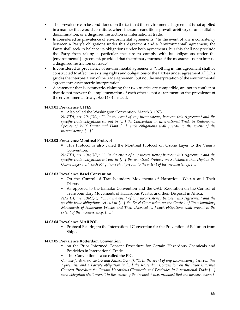- The prevalence can be conditioned on the fact that the environmental agreement is not applied in a manner that would constitute, where the same conditions prevail, arbitrary or unjustifiable discrimination, or a disguised restriction on international trade.
- Is considered as prevalence of environmental agreements: "In the event of any inconsistency between a Party's obligations under this Agreement and a [environmental] agreement, the Party shall seek to balance its obligations under both agreements, but this shall not preclude the Party from taking a particular measure to comply with its obligations under the [environmental] agreement, provided that the primary purpose of the measure is not to impose a disguised restriction on trade".
- Is considered as prevalence of environmental agreements: "nothing in this agreement shall be constructed to affect the existing rights and obligations of the Parties under agreement X" (This guides the interpretation of the trade agreement but not the interpretation of the environmental agreement= asymmetric interpretation.
- A statement that is symmetric, claiming that two treaties are compatible, are not in conflict or that do not prevent the implementation of each other is not a statement on the prevalence of the environmental treaty. See 14.04 instead.

### **14.03.01 Prevalence CITES**

Also called the Washington Convention, March 3, 1973.

*NAFTA, art. 104(1)(a): "1. In the event of any inconsistency between this Agreement and the specific trade obligations set out in […] the Convention on international Trade in Endangered Species of Wild Fauna and Flora […], such obligations shall prevail to the extent of the inconsistency. […]"* 

### **14.03.02 Prevalence Montreal Protocol**

 This Protocol is also called the Montreal Protocol on Ozone Layer to the Vienna Convention.

*NAFTA, art. 104(1)(b): "1. In the event of any inconsistency between this Agreement and the specific trade obligations set out in […] the Montreal Protocol on Substances that Deplete the Ozone Layer […], such obligations shall prevail to the extent of the inconsistency, […]"* 

### **14.03.03 Prevalence Basel Convention**

- On the Control of Transboundary Movements of Hazardous Wastes and Their Disposal.
- As opposed to the Bamako Convention and the OAU Resolution on the Control of Transboundary Movements of Hazardous Wastes and their Disposal in Africa.

*NAFTA, art. 104(1)(c): "1. In the event of any inconsistency between this Agreement and the specific trade obligations set out in […] the Basel Convention on the Control of Transboundary Movements of Hazardous Wastes and Their Disposal […] such obligations shall prevail to the extent of the inconsistency, […]"* 

### **14.03.04 Prevalence MARPOL**

**Protocol Relating to the International Convention for the Prevention of Pollution from** Ships.

#### **14.03.05 Prevalence Rotterdam Convention**

- on the Prior Informed Consent Procedure for Certain Hazardous Chemicals and Pesticides in International Trade.
- This Convention is also called the PIC.

*Canada-Jordan, article 1-5 and Annex 1-5 (d): "1. In the event of any inconsistency between this Agreement and a Party's obligation in […] the Rotterdam Convention on the Prior Informed Consent Procedure for Certain Hazardous Chemicals and Pesticides in International Trade […] such obligation shall prevail to the extent of the inconsistency, provided that the measure taken is*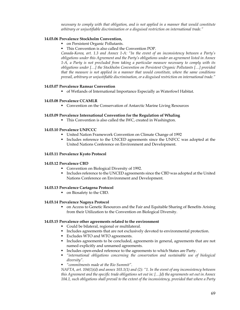*necessary to comply with that obligation, and is not applied in a manner that would constitute arbitrary or unjustifiable discrimination or a disguised restriction on international trade."* 

### **14.03.06 Prevalence Stockholm Convention,**

- on Persistent Organic Pollutants.
- This Convention is also called the Convention POP.

*Canada-Korea, art. 1.3 and Annex 1-A: "In the event of an inconsistency between a Party's obligations under this Agreement and the Party's obligations under an agreement listed in Annex 1-A, a Party is not precluded from taking a particular measure necessary to comply with its obligations under […] the Stockholm Convention on Persistent Organic Pollutants […] provided that the measure is not applied in a manner that would constitute, where the same conditions prevail, arbitrary or unjustifiable discrimination, or a disguised restriction on international trade."* 

### **14.03.07 Prevalence Ramsar Convention**

of Wetlands of International Importance Especially as Waterfowl Habitat.

#### **14.03.08 Prevalence CCAMLR**

Convention on the Conservation of Antarctic Marine Living Resources

#### **14.03.09 Prevalence International Convention for the Regulation of Whaling**

• This Convention is also called the IWC, created in Washington.

#### **14.03.10 Prevalence UNFCCC**

- United Nation Framework Convention on Climate Change of 1992
- Includes reference to the UNCED agreements since the UNFCC was adopted at the United Nations Conference on Environment and Development.

#### **14.03.11 Prevalence Kyoto Protocol**

### **14.03.12 Prevalence CBD**

- Convention on Biological Diversity of 1992.
- Includes reference to the UNCED agreements since the CBD was adopted at the United Nations Conference on Environment and Development.

#### **14.03.13 Prevalence Cartagena Protocol**

• on Biosafety to the CBD.

# **14.03.14 Prevalence Nagoya Protocol**

 on Access to Genetic Resources and the Fair and Equitable Sharing of Benefits Arising from their Utilization to the Convention on Biological Diversity.

### **14.03.15 Prevalence other agreements related to the environment**

- Could be bilateral, regional or multilateral.
- Includes agreements that are not exclusively devoted to environmental protection.
- Excludes WTO and WTO agreements.
- Includes agreements to be concluded, agreements in general, agreements that are not named explicitly and unnamed agreements.
- Includes open-ended reference to the agreements to which States are Party.
- *"international obligations concerning the conservation and sustainable use of biological diversity".*
- *"commitments made at the Rio Summit".*

*NAFTA, art. 104(1)(d) and annex 103.1(1) and (2): "1. In the event of any inconsistency between this Agreement and the specific trade obligations set out in: […]d) the agreements set out in Annex 104.1, such obligations shall prevail to the extent of the inconsistency, provided that where a Party*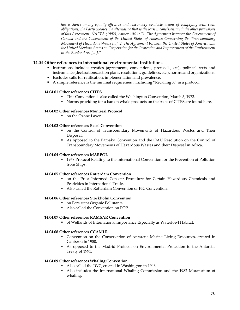*has a choice among equally effective and reasonably available means of complying with such obligations, the Party chooses the alternative that is the least inconsistent with the other provisions of this Agreement. NAFTA (1992), Annex 104.1: "1. The Agreement between the Government of Canada and the Government of the United States of America Concerning the Transboundary Movement of Hazardous Waste [...]. 2. The Agreement between the United States of America and the United Mexican States on Cooperation for the Protection and Improvement of the Environment in the Border Area […]."* 

# **14.04 Other references to international environmental institutions**

- Institutions includes treaties (agreements, conventions, protocols, etc), political texts and instruments (declarations, action plans, resolutions, guidelines, etc.), norms, and organizations.
- Excludes calls for ratification, implementation and prevalence.
- $\blacksquare$  A simple reference is the minimal requirement, including "Recalling X" in a protocol.

### **14.04.01 Other references CITES**

- This Convention is also called the Washington Convention, March 3, 1973.
- Norms providing for a ban on whale products on the basis of CITES are found here.

### **14.04.02 Other references Montreal Protocol**

on the Ozone Layer.

# **14.04.03 Other references Basel Convention**

- on the Control of Transboundary Movements of Hazardous Wastes and Their Disposal.
- As opposed to the Bamako Convention and the OAU Resolution on the Control of Transboundary Movements of Hazardous Wastes and their Disposal in Africa.

#### **14.04.04 Other references MARPOL**

 1978 Protocol Relating to the International Convention for the Prevention of Pollution from Ships.

### **14.04.05 Other references Rotterdam Convention**

- on the Prior Informed Consent Procedure for Certain Hazardous Chemicals and Pesticides in International Trade.
- Also called the Rotterdam Convention or PIC Convention.

### **14.04.06 Other references Stockholm Convention**

- on Persistent Organic Pollutants
- Also called the Convention on POP.

# **14.04.07 Other references RAMSAR Convention**

of Wetlands of International Importance Especially as Waterfowl Habitat.

# **14.04.08 Other references CCAMLR**

- Convention on the Conservation of Antarctic Marine Living Resources, created in Canberra in 1980.
- As opposed to the Madrid Protocol on Environmental Protection to the Antarctic Treaty of 1991.

### **14.04.09 Other references Whaling Convention**

- Also called the IWC, created in Washington in 1946.
- Also includes the International Whaling Commission and the 1982 Moratorium of whaling.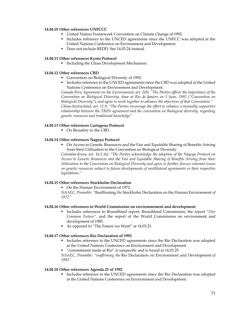#### **14.04.10 Other references UNFCCC**

- United Nation Framework Convention on Climate Change of 1992.
- Includes reference to the UNCED agreements since the UNFCC was adopted at the United Nations Conference on Environment and Development.
- Does not include REDD. See 14.03.24 instead.

#### **14.04.11 Other references Kyoto Protocol**

**Including the Clean Development Mechanism.** 

#### **14.04.12 Other references CBD**

- **Convention on Biological Diversity of 1992.**
- Includes reference to the UNCED agreements since the CBD was adopted at the United Nations Conference on Environment and Development.

*Canada-Peru Agreement on the Environment, art. 2(8): "The Parties affirm the importance of the Convention on Biological Diversity, done at Rio de Janeiro on 5 June, 1992 ("Convention on Biological Diversity"), and agree to work together to advance the objectives of that Convention." China-Switzerland, art. 11.9: "The Parties encourage the effort to enhance a mutually supportive relationship between the TRIPs agreement and the convention on Biological diversity, regarding genetic resources and traditional knowledge"* 

#### **14.04.13 Other references Cartagena Protocol**

• On Biosafety to the CBD.

### **14.04.14 Other references Nagoya Protocol**

 On Access to Genetic Resources and the Fair and Equitable Sharing of Benefits Arising from their Utilization to the Convention on Biological Diversity.

*Colombia-Korea, art. 16.5 (6): "The Parties acknowledge the adoption of the Nagoya Protocol on Access to Genetic Resources and the Fair and Equitable Sharing of Benefits Arising from their Utilization to the Convention on Biological Diversity and agree to further discuss relevant issues on genetic resources subject to future developments of multilateral agreements or their respective legislations."* 

### **14.04.15 Other references Stockholm Declaration**

• On the Human Environment of 1972.

*NAAEC, Preamble: "*Reaffirming *the* Stockholm Declaration on the Human Environment *of 1972"* 

### **14.04.16 Other references to World Commission on environnement and development**

- Includes references to Brundtland report, Brundtland Commission, the report "*Our Common Future",* and the report of the World Commission on environment and development of 1985.
- As opposed to "The Future we Want" at 14.03.21.

#### **14.04.17 Other references Rio Declaration of 1992**

- Includes reference to the UNCED agreements since the Rio Declaration was adopted at the United Nations Conference on Environment and Development.
- "commitment made at Rio" is unspecific and is found at 14.03.25

*NAAEC, Preamble: "reaffirming the* Rio Declaration on Environment and Development *of 1992"* 

#### **14.04.18 Other references Agenda 21 of 1992**

 Includes reference to the UNCED agreements since the Rio Declaration was adopted at the United Nations Conference on Environment and Development.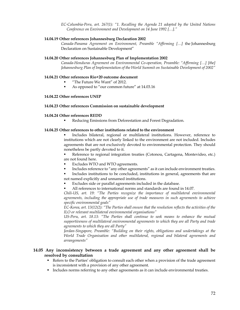*EC-Columbia-Peru, art. 267(1): "1. Recalling the Agenda 21 adopted by the United Nations Conference on Environment and Development on 14 June 1992 […]."* 

#### **14.04.19 Other references Johannesburg Declaration 2002**

*Canada-Panama Agreement on Environment, Preamble "Affirming […]* the Johannesburg Declaration on Sustainable Development"

#### **14.04.20 Other references Johannesburg Plan of Implementation 2002**

*Canada-Honduras Agreement on Environmental Co-operation, Preamble: "Affirming […] [the] Johannesburg Plan of Implementation of the World Summit on Sustainable Development of 2002"* 

#### **14.04.21 Other references Rio+20 outcome document**

- "The Future We Want" of 2012.
- As opposed to "our common future" at 14.03.16

#### **14.04.22 Other references UNEP**

## **14.04.23 Other references Commission on sustainable development**

#### **14.04.24 Other references REDD**

Reducing Emissions from Deforestation and Forest Degradation.

#### **14.04.25 Other references to other institutions related to the environment**

 Includes bilateral, regional or multilateral institutions. However, reference to institutions which are not clearly linked to the environment are not included. Includes agreements that are not exclusively devoted to environmental protection. They should nonetheless be partly devoted to it.

 Reference to regional integration treaties (Cotonou, Cartagena, Montevideo, etc.) are not found here.

- Excludes WTO and WTO agreements.
- Includes reference to "any other agreements" as it can include environment treaties.

 Includes institutions to be concluded, institutions in general, agreements that are not named explicitly and unnamed institutions.

- Excludes side or parallel agreements included in the database.
- All references to international norms and standards are found in 14.07.

*Chili-US, art. 19: "The Parties recognize the importance of multilateral environmental agreements, including the appropriate use of trade measures in such agreements to achieve specific environmental goals"* 

*EC-Korea, art. 13(12(2): "The Parties shall ensure that the resolution reflects the activities of the ILO or relevant multilateral environmental organisations"* 

*US-Peru, art. 18.13: "The Parties shall continue to seek means to enhance the mutual supportiveness of multilateral environmental agreements to which they are all Party and trade agreements to which they are all Party"* 

*Jordan-Singapore, Preamble: "Building on their rights, obligations and undertakings at the World Trade Organisation and other multilateral, regional and bilateral agreements and arrangements"* 

### **14.05 Any inconsistency between a trade agreement and any other agreement shall be resolved by consultation**

- **Refers to the Parties' obligation to consult each other when a provision of the trade agreement** is inconsistent with a provision of any other agreement.
- Includes norms referring to any other agreements as it can include environmental treaties.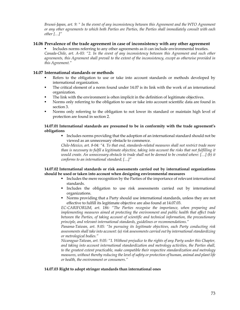*Brunei-Japan, art. 9: " In the event of any inconsistency between this Agreement and the WTO Agreement or any other agreements to which both Parties are Parties, the Parties shall immediately consult with each other […]"* 

#### **14.06 Prevalence of the trade agreement in case of inconsistency with any other agreement**

 Includes norms referring to any other agreements as it can include environmental treaties. *Canada-Chile, art. A-03: "2. In the event of any inconsistency between this Agreement and such other agreements, this Agreement shall prevail to the extent of the inconsistency, except as otherwise provided in this Agreement."* 

## **14.07 International standards or methods**

- Refers to the obligation to use or take into account standards or methods developed by international organization.
- The critical element of a norm found under 14.07 is its link with the work of an international organization.
- The link with the environment is often implicit in the definition of legitimate objectives.
- Norms only referring to the obligation to use or take into account scientific data are found in section 3.
- Norms only referring to the obligation to not lower its standard or maintain high level of protection are found in section 2.

#### **14.07.01 International standards are presumed to be in conformity with the trade agreement's obligations**

 Includes norms providing that the adoption of an international standard should not be viewed as an unnecessary obstacle to commerce.

*Chile-Mexico, art. 8-04: "4. To that end, standards-related measures shall not restrict trade more than is necessary to fulfil a legitimate objective, taking into account the risks that not fulfilling it would create. An unnecessary obstacle to trade shall not be deemed to be created where: […] (b) it conforms to an international standard; […]"* 

#### **14.07.02 International standards or risk assessments carried out by international organizations should be used or taken into account when designing environmental measures**

- Includes the mere recognition by the Parties of the importance of relevant international standards.
- Includes the obligation to use risk assessments carried out by international organizations.
- Norms providing that a Party should use international standards, unless they are not effective to fulfill its legitimate objective are also found at 14.07.03.

*EC-CARIFORUM, art. 186: "The Parties recognise the importance, when preparing and implementing measures aimed at protecting the environment and public health that affect trade between the Parties, of taking account of scientific and technical information, the precautionary principle, and relevant international standards, guidelines or recommendations."* 

*Panama-Taiwan, art. 9.05: "In pursuing its legitimate objectives, each Party conducting risk assessments shall take into account: (a) risk assessments carried out by international standardizing or metrological bodies."* 

*Nicaragua-Taïwan, art. 9.05: "1. Without prejudice to the rights of any Party under this Chapter, and taking into account international standardization and metrology activities, the Parties shall, to the greatest extent practicable, make compatible their respective standardization and metrology measures, without thereby reducing the level of safety or protection of human, animal and plant life or health, the environment or consumers."* 

#### **14.07.03 Right to adopt stringer standards than international ones**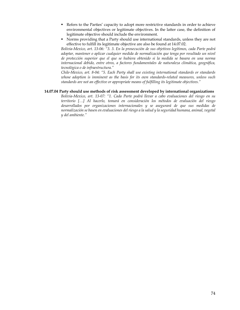- Refers to the Parties' capacity to adopt more restrictive standards in order to achieve environmental objectives or legitimate objectives. In the latter case, the definition of legitimate objective should include the environment.
- Norms providing that a Party should use international standards, unless they are not effective to fulfill its legitimate objective are also be found at 14.07.02.

*Bolivia-Mexico, art. 13-06: "3. 3. En la prosecución de sus objetivos legítimos, cada Parte podrá adoptar, mantener o aplicar cualquier medida de normalización que tenga por resultado un nivel de protección superior que el que se hubiera obtenido si la medida se basara en una norma internacional debido, entre otros, a factores fundamentales de naturaleza climática, geográfica, tecnológica o de infraestructura."* 

*Chile-Mexico, art. 8-04: "5. Each Party shall use existing international standards or standards whose adoption is imminent as the basis for its own standards-related measures, unless such standards are not an effective or appropriate means of fulfilling its legitimate objectives."* 

#### **14.07.04 Party should use methods of risk assessment developed by international organizations**

*Bolivia-Mexico, art. 13-07: "1. Cada Parte podrá llevar a cabo evaluaciones del riesgo en su territorio […] Al hacerlo, tomará en consideración los métodos de evaluación del riesgo desarrollados por organizaciones internacionales y se asegurará de que sus medidas de normalización se basen en evaluaciones del riesgo a la salud y la seguridad humana, animal, vegetal y del ambiente."*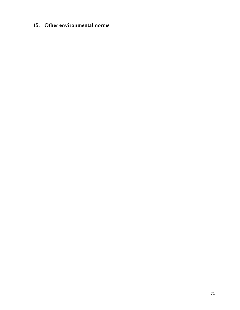# **15. Other environmental norms**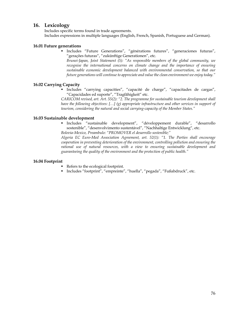# **16. Lexicology**

Includes specific terms found in trade agreements. Includes expressions in multiple languages (English, French, Spanish, Portuguese and German).

# **16.01 Future generations**

 Includes "Future Generations", "générations futures", "generaciones futuras", "gerações futuras", "zukünftige Generationen", etc.

*Brunei-Japan, Joint Statement (5): "As responsible members of the global community, we recognise the international concerns on climate change and the importance of ensuring sustainable economic development balanced with environmental conservation, so that our future generations will continue to appreciate and value the clean environment we enjoy today."* 

# **16.02 Carrying Capacity**

 Includes "carrying capacities", "capacité de charge", "capacitades de cargas", "Capacidades ed suporte", "Tragfähigkeit" etc.

*CARICOM revised, art. Art. 55(2): "2. The programme for sustainable tourism development shall have the following objectives: […] (g) appropriate infrastructure and other services in support of tourism, considering the natural and social carrying-capacity of the Member States."* 

## **16.03 Sustainable development**

 Includes "sustainable development", "développement durable", "desarrollo sostenible", "desenvolvimento sustentável", "Nachhaltige Entwicklung", etc. *Bolovia-Mexico, Preambulo: "PROMOVER el desarrollo sostenible;"* 

*Algeria EC Euro-Med Association Agreement, art. 52(1): "1. The Parties shall encourage cooperation in preventing deterioration of the environment, controlling pollution and ensuring the rational use of natural resources, with a view to ensuring sustainable development and guaranteeing the quality of the environment and the protection of public health."* 

# **16.04 Footprint**

- Refers to the ecological footprint.
- Includes "footprint", "empreinte", "huella", "pegada", "Fußabdruck", etc.